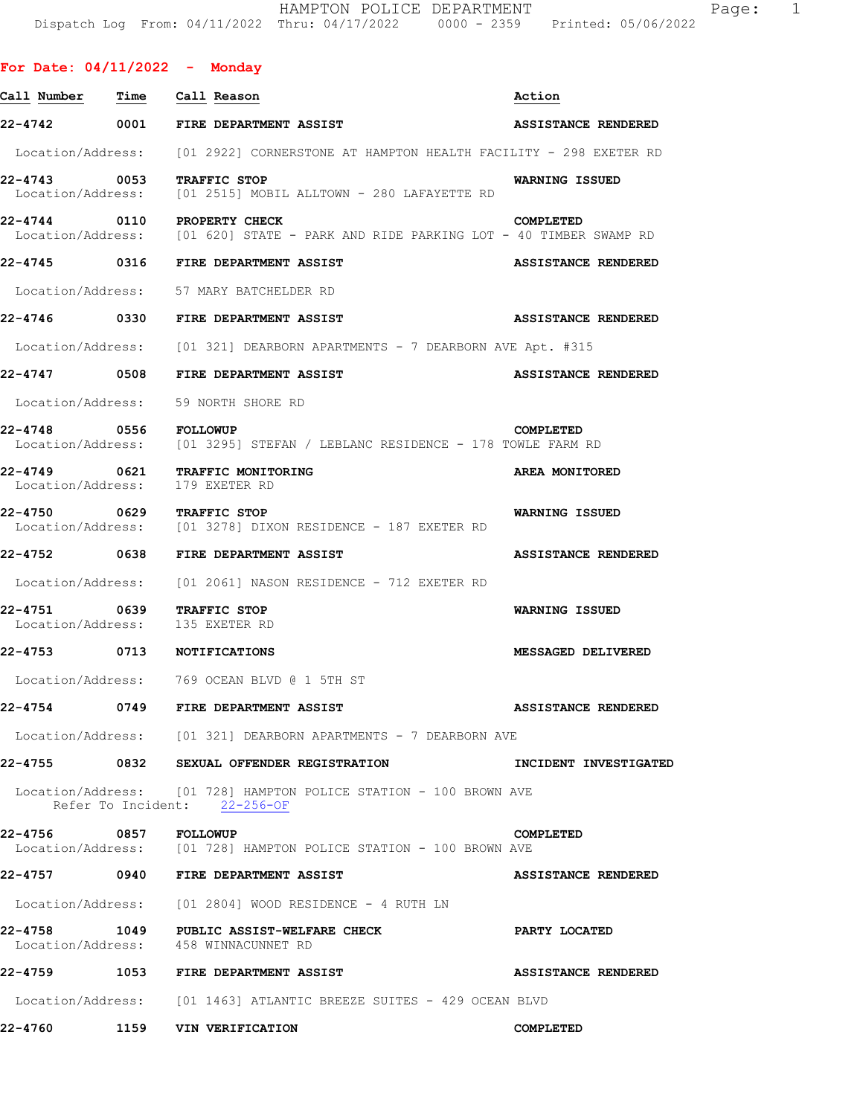| For Date: $04/11/2022 -$ Monday                 |                                                                                                                  |                              |
|-------------------------------------------------|------------------------------------------------------------------------------------------------------------------|------------------------------|
| <u>Call Number — Time — Call Reason</u>         |                                                                                                                  | Action                       |
|                                                 | 22-4742 0001 FIRE DEPARTMENT ASSIST                                                                              | <b>ASSISTANCE RENDERED</b>   |
|                                                 | Location/Address: [01 2922] CORNERSTONE AT HAMPTON HEALTH FACILITY - 298 EXETER RD                               |                              |
| 22-4743 0053 TRAFFIC STOP                       | Location/Address: [01 2515] MOBIL ALLTOWN - 280 LAFAYETTE RD                                                     | <b>WARNING ISSUED</b>        |
|                                                 | 22-4744 0110 PROPERTY CHECK<br>Location/Address: [01 620] STATE - PARK AND RIDE PARKING LOT - 40 TIMBER SWAMP RD | COMPLETED                    |
|                                                 | 22-4745 0316 FIRE DEPARTMENT ASSIST                                                                              | <b>ASSISTANCE RENDERED</b>   |
|                                                 | Location/Address: 57 MARY BATCHELDER RD                                                                          |                              |
|                                                 | 22-4746 0330 FIRE DEPARTMENT ASSIST                                                                              | <b>ASSISTANCE RENDERED</b>   |
|                                                 | Location/Address: [01 321] DEARBORN APARTMENTS - 7 DEARBORN AVE Apt. #315                                        |                              |
|                                                 | 22-4747 0508 FIRE DEPARTMENT ASSIST                                                                              | <b>ASSISTANCE RENDERED</b>   |
|                                                 | Location/Address: 59 NORTH SHORE RD                                                                              |                              |
| 22-4748 0556 FOLLOWUP                           | Location/Address: [01 3295] STEFAN / LEBLANC RESIDENCE - 178 TOWLE FARM RD                                       | COMPLETED                    |
| 22-4749 0621<br>Location/Address: 179 EXETER RD | <b>TRAFFIC MONITORING</b>                                                                                        | AREA MONITORED               |
| 22-4750 0629 TRAFFIC STOP                       | Location/Address: [01 3278] DIXON RESIDENCE - 187 EXETER RD                                                      | <b>WARNING ISSUED</b>        |
|                                                 | 22-4752 0638 FIRE DEPARTMENT ASSIST                                                                              | <b>ASSISTANCE RENDERED</b>   |
|                                                 | Location/Address: [01 2061] NASON RESIDENCE - 712 EXETER RD                                                      |                              |
| 22-4751                                         | 0639 TRAFFIC STOP<br>Location/Address: 135 EXETER RD                                                             | <b>WARNING ISSUED</b>        |
| 22-4753 0713 NOTIFICATIONS                      |                                                                                                                  | MESSAGED DELIVERED           |
|                                                 | Location/Address: 769 OCEAN BLVD @ 1 5TH ST                                                                      |                              |
|                                                 | 22-4754 0749 FIRE DEPARTMENT ASSIST                                                                              | <b>ASSISTANCE RENDERED</b>   |
|                                                 | Location/Address: [01 321] DEARBORN APARTMENTS - 7 DEARBORN AVE                                                  |                              |
|                                                 | 22-4755 0832 SEXUAL OFFENDER REGISTRATION                                                                        | <b>INCIDENT INVESTIGATED</b> |
|                                                 | Location/Address: [01 728] HAMPTON POLICE STATION - 100 BROWN AVE<br>Refer To Incident: 22-256-OF                |                              |
| 22-4756 0857 FOLLOWUP                           | Location/Address: [01 728] HAMPTON POLICE STATION - 100 BROWN AVE                                                | COMPLETED                    |
|                                                 | 22-4757 0940 FIRE DEPARTMENT ASSIST                                                                              | <b>ASSISTANCE RENDERED</b>   |
|                                                 | Location/Address: [01 2804] WOOD RESIDENCE - 4 RUTH LN                                                           |                              |
|                                                 | 22-4758 1049 PUBLIC ASSIST-WELFARE CHECK<br>Location/Address: 458 WINNACUNNET RD                                 | PARTY LOCATED                |
|                                                 | 22-4759 1053 FIRE DEPARTMENT ASSIST                                                                              | ASSISTANCE RENDERED          |
|                                                 | Location/Address: [01 1463] ATLANTIC BREEZE SUITES - 429 OCEAN BLVD                                              |                              |
|                                                 | 22-4760 1159 VIN VERIFICATION                                                                                    | COMPLETED                    |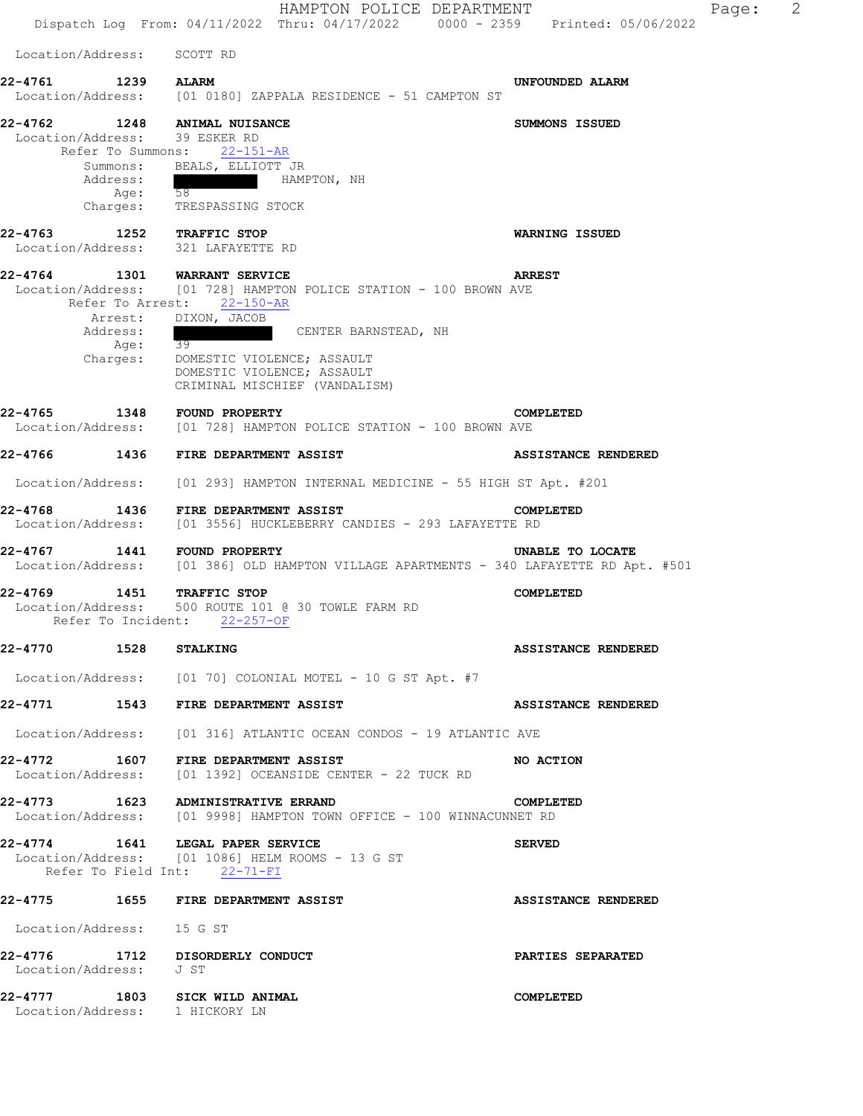HAMPTON POLICE DEPARTMENT Page: 2 Dispatch Log From: 04/11/2022 Thru: 04/17/2022 0000 - 2359 Printed: 05/06/2022 Location/Address: SCOTT RD **22-4761 1239 ALARM UNFOUNDED ALARM**  Location/Address: [01 0180] ZAPPALA RESIDENCE - 51 CAMPTON ST **22-4762 1248 ANIMAL NUISANCE SUMMONS ISSUED**  Location/Address: 39 ESKER RD Refer To Summons: 22-151-AR Summons: BEALS, ELLIOTT JR Address: HAMPTON, NH Age: 58 Charges: TRESPASSING STOCK **22-4763 1252 TRAFFIC STOP WARNING ISSUED**  Location/Address: 321 LAFAYETTE RD **22-4764 1301 WARRANT SERVICE ARREST**  Location/Address: [01 728] HAMPTON POLICE STATION - 100 BROWN AVE Refer To Arrest: 22-150-AR Arrest: DIXON, JACOB Address:  $\frac{39}{2}$  CENTER BARNSTEAD, NH Age: Charges: DOMESTIC VIOLENCE; ASSAULT DOMESTIC VIOLENCE; ASSAULT CRIMINAL MISCHIEF (VANDALISM) **22-4765 1348 FOUND PROPERTY COMPLETED**  Location/Address: [01 728] HAMPTON POLICE STATION - 100 BROWN AVE **22-4766 1436 FIRE DEPARTMENT ASSIST ASSISTANCE RENDERED**  Location/Address: [01 293] HAMPTON INTERNAL MEDICINE - 55 HIGH ST Apt. #201 **22-4768 1436 FIRE DEPARTMENT ASSIST COMPLETED**  Location/Address: [01 3556] HUCKLEBERRY CANDIES - 293 LAFAYETTE RD **22-4767 1441 FOUND PROPERTY UNABLE TO LOCATE**  Location/Address: [01 386] OLD HAMPTON VILLAGE APARTMENTS - 340 LAFAYETTE RD Apt. #501 **22-4769 1451 TRAFFIC STOP COMPLETED**  Location/Address: 500 ROUTE 101 @ 30 TOWLE FARM RD Refer To Incident: 22-257-OF **22-4770 1528 STALKING ASSISTANCE RENDERED**  Location/Address: [01 70] COLONIAL MOTEL - 10 G ST Apt. #7 **22-4771 1543 FIRE DEPARTMENT ASSIST ASSISTANCE RENDERED**  Location/Address: [01 316] ATLANTIC OCEAN CONDOS - 19 ATLANTIC AVE **22-4772 1607 FIRE DEPARTMENT ASSIST NO ACTION**  Location/Address: [01 1392] OCEANSIDE CENTER - 22 TUCK RD **22-4773 1623 ADMINISTRATIVE ERRAND COMPLETED**  Location/Address: [01 9998] HAMPTON TOWN OFFICE - 100 WINNACUNNET RD **22-4774 1641 LEGAL PAPER SERVICE SERVED**  Location/Address: [01 1086] HELM ROOMS - 13 G ST Refer To Field Int: 22-71-FI **22-4775 1655 FIRE DEPARTMENT ASSIST ASSISTANCE RENDERED**  Location/Address: 15 G ST **22-4776 1712 DISORDERLY CONDUCT PARTIES SEPARATED**  Location/Address: J ST **22-4777 1803 SICK WILD ANIMAL COMPLETED**  Location/Address: 1 HICKORY LN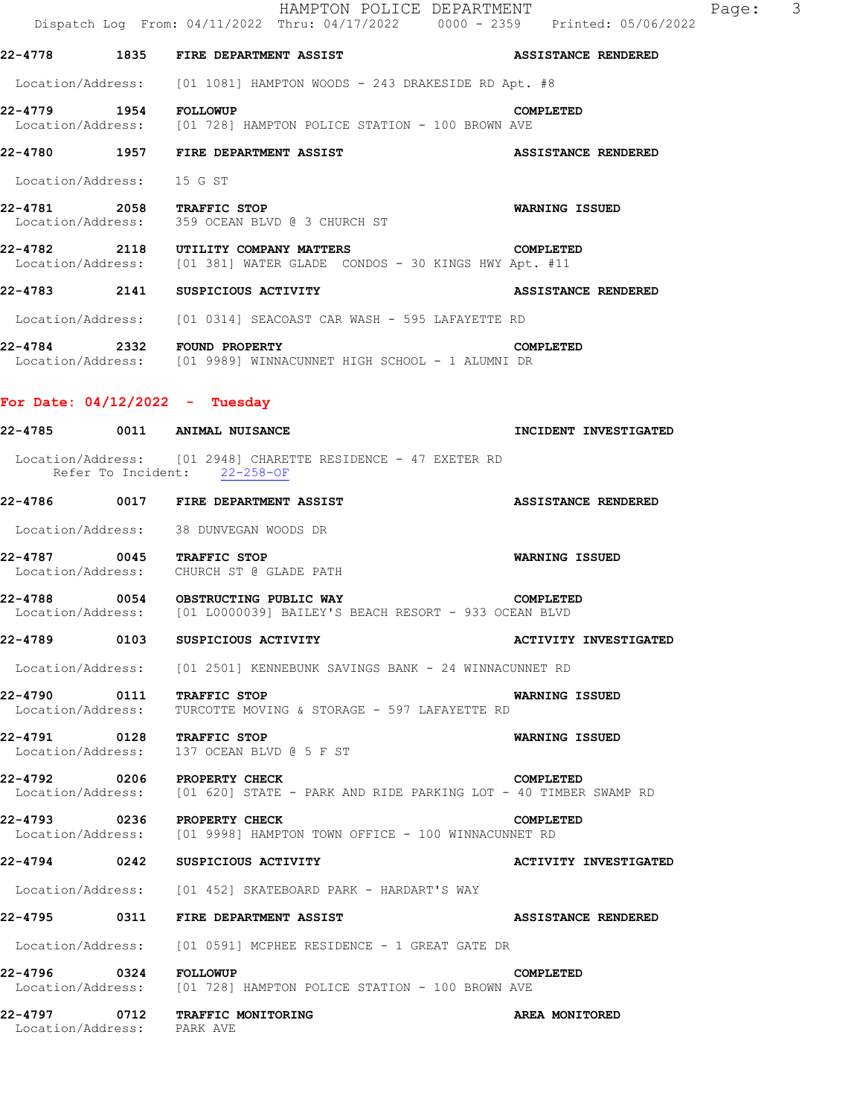|                                  | HAMPTON POLICE DEPARTMENT<br>Dispatch Log From: 04/11/2022 Thru: 04/17/2022 0000 - 2359 Printed: 05/06/2022                | Page: 3                      |
|----------------------------------|----------------------------------------------------------------------------------------------------------------------------|------------------------------|
|                                  | 22-4778 1835 FIRE DEPARTMENT ASSIST                                                                                        | ASSISTANCE RENDERED          |
|                                  | Location/Address: [01 1081] HAMPTON WOODS - 243 DRAKESIDE RD Apt. #8                                                       |                              |
|                                  | COM 1954 FOLLOWUP<br>Location/Address: [01 728] HAMPTON POLICE STATION - 100 BROWN AVE                                     | COMPLETED                    |
|                                  | 22-4780 1957 FIRE DEPARTMENT ASSIST                                                                                        | <b>ASSISTANCE RENDERED</b>   |
| Location/Address: 15 G ST        |                                                                                                                            |                              |
| 22-4781 2058 TRAFFIC STOP        | Location/Address: 359 OCEAN BLVD @ 3 CHURCH ST                                                                             | <b>WARNING ISSUED</b>        |
|                                  | 22-4782 2118 UTILITY COMPANY MATTERS<br>Location/Address: [01 381] WATER GLADE CONDOS - 30 KINGS HWY Apt. #11              | COMPLETED                    |
|                                  | 22-4783 2141 SUSPICIOUS ACTIVITY                                                                                           | ASSISTANCE RENDERED          |
|                                  | Location/Address: [01 0314] SEACOAST CAR WASH - 595 LAFAYETTE RD                                                           |                              |
|                                  | <b>22-4784 2332 FOUND PROPERTY COM</b><br>Location/Address: [01 9989] WINNACUNNET HIGH SCHOOL - 1 ALUMNI DR                | COMPLETED                    |
| For Date: $04/12/2022 -$ Tuesday |                                                                                                                            |                              |
|                                  | 22-4785 0011 ANIMAL NUISANCE                                                                                               | <b>INCIDENT INVESTIGATED</b> |
|                                  | Location/Address: [01 2948] CHARETTE RESIDENCE - 47 EXETER RD<br>Refer To Incident: 22-258-OF                              |                              |
|                                  | 22-4786 0017 FIRE DEPARTMENT ASSIST                                                                                        | <b>ASSISTANCE RENDERED</b>   |
|                                  | Location/Address: 38 DUNVEGAN WOODS DR                                                                                     |                              |
| 22-4787 0045 TRAFFIC STOP        | Location/Address: CHURCH ST @ GLADE PATH                                                                                   | WARNING ISSUED               |
|                                  | 22-4788 0054 OBSTRUCTING PUBLIC WAY COMPLETED<br>Location/Address: [01 L0000039] BAILEY'S BEACH RESORT - 933 OCEAN BLVD    |                              |
|                                  |                                                                                                                            | <b>ACTIVITY INVESTIGATED</b> |
|                                  | Location/Address: [01 2501] KENNEBUNK SAVINGS BANK - 24 WINNACUNNET RD                                                     |                              |
| 22-4790 0111 TRAFFIC STOP        | Location/Address: TURCOTTE MOVING & STORAGE - 597 LAFAYETTE RD                                                             | WARNING ISSUED               |
| 22-4791 0128 TRAFFIC STOP        | Location/Address: 137 OCEAN BLVD @ 5 F ST                                                                                  | WARNING ISSUED               |
|                                  | 22-4792 0206 PROPERTY CHECK COMPLETED<br>Location/Address: [01 620] STATE - PARK AND RIDE PARKING LOT - 40 TIMBER SWAMP RD |                              |
| 22-4793 0236 PROPERTY CHECK      | Location/Address: [01 9998] HAMPTON TOWN OFFICE - 100 WINNACUNNET RD                                                       | COMPLETED                    |
|                                  | 22-4794 0242 SUSPICIOUS ACTIVITY                                                                                           | <b>ACTIVITY INVESTIGATED</b> |
|                                  | Location/Address: [01 452] SKATEBOARD PARK - HARDART'S WAY                                                                 |                              |
|                                  | 22-4795 0311 FIRE DEPARTMENT ASSIST                                                                                        | <b>ASSISTANCE RENDERED</b>   |
|                                  | Location/Address: [01 0591] MCPHEE RESIDENCE - 1 GREAT GATE DR                                                             |                              |
| 22-4796 0324 FOLLOWUP            | Location/Address: [01 728] HAMPTON POLICE STATION - 100 BROWN AVE                                                          | COMPLETED                    |
| Location/Address: PARK AVE       | 22-4797 0712 TRAFFIC MONITORING                                                                                            | AREA MONITORED               |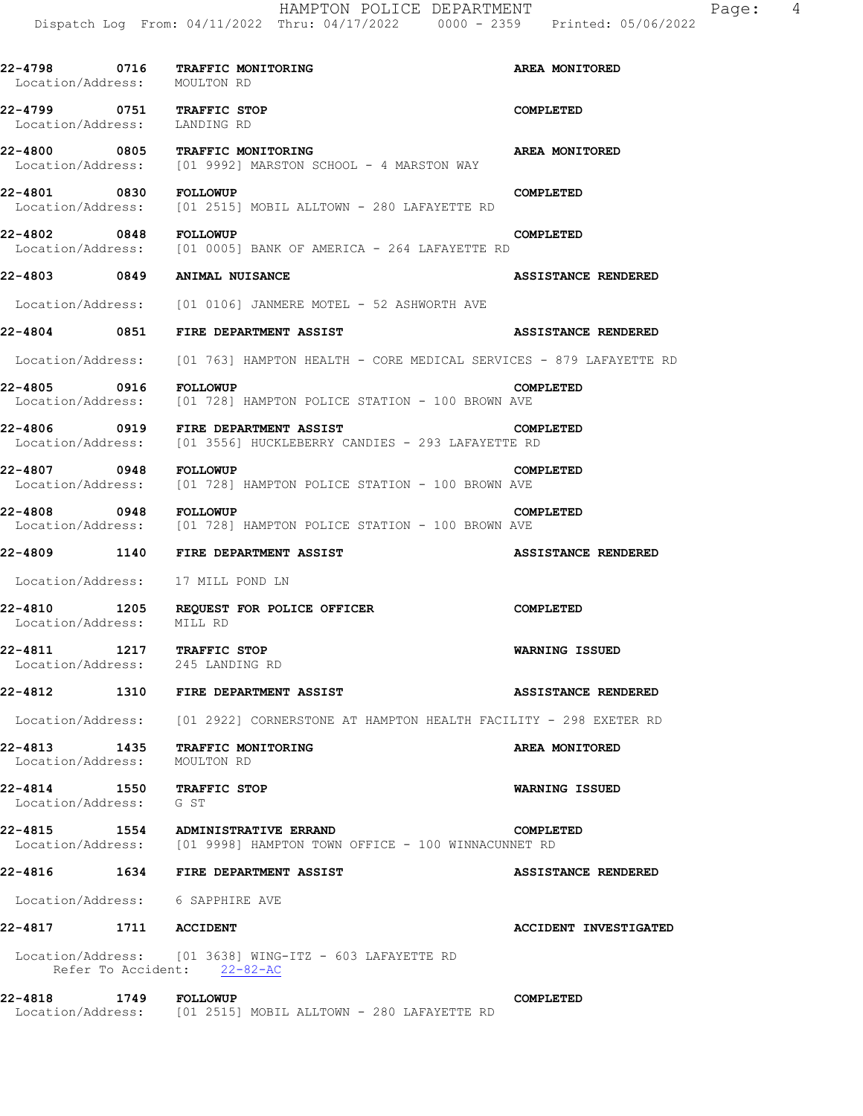|                                                               | 22-4798 0716 | TRAFFIC MONITORING<br>Location/Address: MOULTON RD                                                             | AREA MONITORED               |
|---------------------------------------------------------------|--------------|----------------------------------------------------------------------------------------------------------------|------------------------------|
| 22-4799 0751 TRAFFIC STOP<br>Location/Address: LANDING RD     |              |                                                                                                                | COMPLETED                    |
|                                                               |              | 22-4800 0805 TRAFFIC MONITORING<br>Location/Address: [01 9992] MARSTON SCHOOL - 4 MARSTON WAY                  | <b>AREA MONITORED</b>        |
| 22-4801 0830 FOLLOWUP                                         |              | Location/Address: [01 2515] MOBIL ALLTOWN - 280 LAFAYETTE RD                                                   | <b>COMPLETED</b>             |
| 22-4802 0848 FOLLOWUP                                         |              | Location/Address: [01 0005] BANK OF AMERICA - 264 LAFAYETTE RD                                                 | COMPLETED                    |
|                                                               |              | 22-4803 0849 ANIMAL NUISANCE                                                                                   | <b>ASSISTANCE RENDERED</b>   |
|                                                               |              | Location/Address: [01 0106] JANMERE MOTEL - 52 ASHWORTH AVE                                                    |                              |
|                                                               |              | 22-4804 0851 FIRE DEPARTMENT ASSIST                                                                            | ASSISTANCE RENDERED          |
|                                                               |              | Location/Address: [01 763] HAMPTON HEALTH - CORE MEDICAL SERVICES - 879 LAFAYETTE RD                           |                              |
| 22-4805 0916 FOLLOWUP                                         |              | Location/Address: [01 728] HAMPTON POLICE STATION - 100 BROWN AVE                                              | COMPLETED                    |
|                                                               |              | 22-4806 0919 FIRE DEPARTMENT ASSIST<br>Location/Address: [01 3556] HUCKLEBERRY CANDIES - 293 LAFAYETTE RD      | COMPLETED                    |
| 22-4807 0948 FOLLOWUP                                         |              | Location/Address: [01 728] HAMPTON POLICE STATION - 100 BROWN AVE                                              | COMPLETED                    |
| 22-4808 0948 FOLLOWUP                                         |              | Location/Address: [01 728] HAMPTON POLICE STATION - 100 BROWN AVE                                              | COMPLETED                    |
|                                                               |              | 22-4809 1140 FIRE DEPARTMENT ASSIST                                                                            | <b>ASSISTANCE RENDERED</b>   |
|                                                               |              |                                                                                                                |                              |
| Location/Address: 17 MILL POND LN                             |              |                                                                                                                |                              |
| 22-4810 1205<br>Location/Address: MILL RD                     |              | REQUEST FOR POLICE OFFICER                                                                                     | COMPLETED                    |
| 22-4811 1217 TRAFFIC STOP<br>Location/Address: 245 LANDING RD |              |                                                                                                                | <b>WARNING ISSUED</b>        |
|                                                               |              | 22-4812 1310 FIRE DEPARTMENT ASSIST                                                                            | <b>ASSISTANCE RENDERED</b>   |
|                                                               |              | Location/Address: [01 2922] CORNERSTONE AT HAMPTON HEALTH FACILITY - 298 EXETER RD                             |                              |
| Location/Address: MOULTON RD                                  |              | 22-4813 1435 TRAFFIC MONITORING                                                                                | AREA MONITORED               |
| 22-4814 1550 TRAFFIC STOP<br>Location/Address: G ST           |              |                                                                                                                | WARNING ISSUED               |
|                                                               |              | 22-4815   1554   ADMINISTRATIVE ERRAND<br>Location/Address: [01 9998] HAMPTON TOWN OFFICE - 100 WINNACUNNET RD | COMPLETED                    |
|                                                               |              | 22-4816 1634 FIRE DEPARTMENT ASSIST                                                                            | <b>ASSISTANCE RENDERED</b>   |
| Location/Address: 6 SAPPHIRE AVE                              |              |                                                                                                                |                              |
| 22-4817 1711 ACCIDENT                                         |              |                                                                                                                | <b>ACCIDENT INVESTIGATED</b> |
|                                                               |              | Location/Address: [01 3638] WING-ITZ - 603 LAFAYETTE RD<br>Refer To Accident: 22-82-AC                         |                              |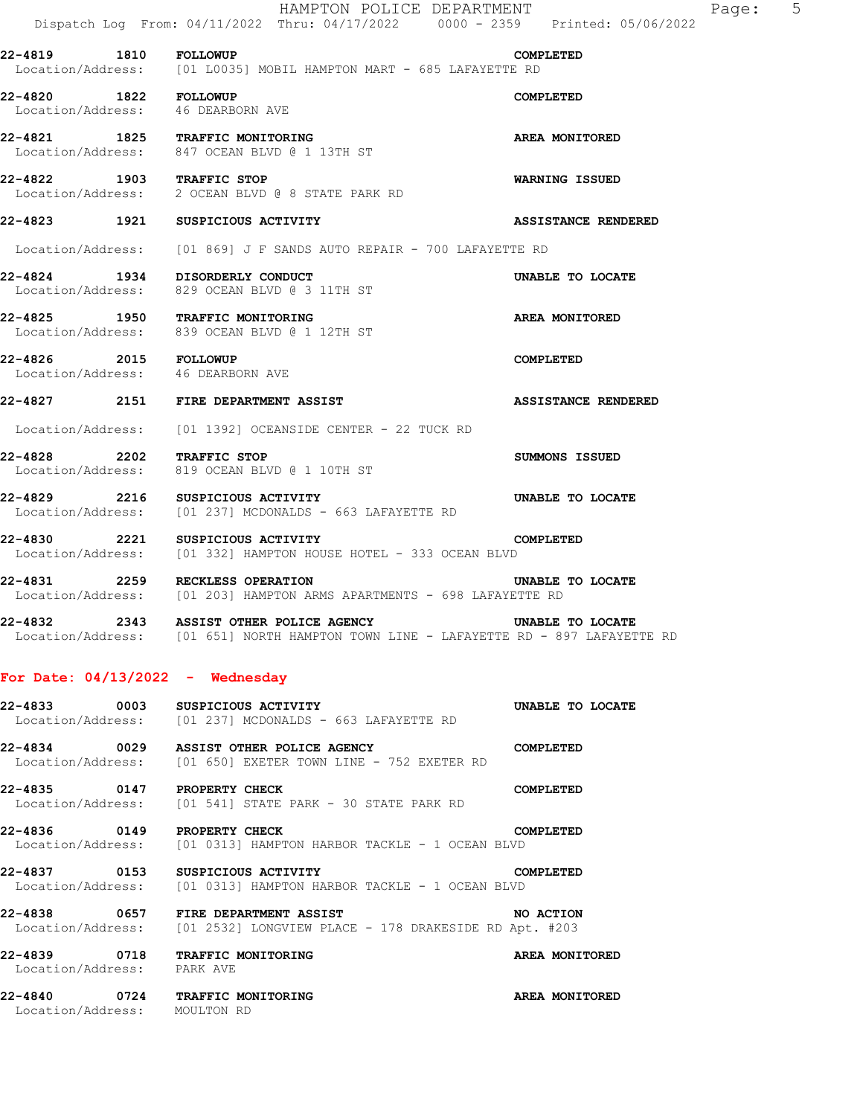|                                    | HAMPTON POLICE DEPARTMENT<br>Dispatch Log From: 04/11/2022 Thru: 04/17/2022 0000 - 2359 Printed: 05/06/2022             |                            |
|------------------------------------|-------------------------------------------------------------------------------------------------------------------------|----------------------------|
|                                    | 22-4819   1810   FOLLOWUP   COMP<br>Location/Address: [01 L0035] MOBIL HAMPTON MART - 685 LAFAYETTE RD                  | COMPLETED                  |
|                                    | 22-4820 1822 FOLLOWUP<br>Location/Address: 46 DEARBORN AVE                                                              | COMPLETED                  |
|                                    | 22-4821 1825 TRAFFIC MONITORING<br>Location/Address: 847 OCEAN BLVD @ 1 13TH ST                                         | AREA MONITORED             |
| 22-4822 1903 TRAFFIC STOP          | Location/Address: 2 OCEAN BLVD @ 8 STATE PARK RD                                                                        | <b>WARNING ISSUED</b>      |
|                                    | 22-4823 1921 SUSPICIOUS ACTIVITY                                                                                        | <b>ASSISTANCE RENDERED</b> |
|                                    | Location/Address: [01 869] J F SANDS AUTO REPAIR - 700 LAFAYETTE RD                                                     |                            |
|                                    | 22-4824 1934 DISORDERLY CONDUCT<br>Location/Address: 829 OCEAN BLVD @ 3 11TH ST                                         | UNABLE TO LOCATE           |
|                                    | 22-4825 1950 TRAFFIC MONITORING<br>Location/Address: 839 OCEAN BLVD @ 1 12TH ST                                         | <b>AREA MONITORED</b>      |
|                                    | 22-4826 2015 FOLLOWUP<br>Location/Address: 46 DEARBORN AVE                                                              | COMPLETED                  |
|                                    | 22-4827 2151 FIRE DEPARTMENT ASSIST                                                                                     | <b>ASSISTANCE RENDERED</b> |
|                                    | Location/Address: [01 1392] OCEANSIDE CENTER - 22 TUCK RD                                                               |                            |
| 22-4828 2202 TRAFFIC STOP          | Location/Address: 819 OCEAN BLVD @ 1 10TH ST                                                                            | <b>SUMMONS ISSUED</b>      |
|                                    | 22-4829 2216 SUSPICIOUS ACTIVITY<br>Location/Address: [01 237] MCDONALDS - 663 LAFAYETTE RD                             | UNABLE TO LOCATE           |
|                                    | 22-4830 2221 SUSPICIOUS ACTIVITY<br>Location/Address: [01 332] HAMPTON HOUSE HOTEL - 333 OCEAN BLVD                     | COMPLETED                  |
|                                    | 22-4831 2259 RECKLESS OPERATION<br>Location/Address: [01 203] HAMPTON ARMS APARTMENTS - 698 LAFAYETTE RD                | UNABLE TO LOCATE           |
| 22-4832                            | 2343 ASSIST OTHER POLICE AGENCY<br>Location/Address: [01 651] NORTH HAMPTON TOWN LINE - LAFAYETTE RD - 897 LAFAYETTE RD | UNABLE TO LOCATE           |
| For Date: $04/13/2022 -$ Wednesday |                                                                                                                         |                            |
| 22-4833 0003                       | SUSPICIOUS ACTIVITY<br>Location/Address: [01 237] MCDONALDS - 663 LAFAYETTE RD                                          | UNABLE TO LOCATE           |
|                                    | 22-4834 0029 ASSIST OTHER POLICE AGENCY<br>Location/Address: [01 650] EXETER TOWN LINE - 752 EXETER RD                  | COMPLETED                  |
| 22-4835 0147 PROPERTY CHECK        | Location/Address: [01 541] STATE PARK - 30 STATE PARK RD                                                                | COMPLETED                  |
| 22-4836 0149 PROPERTY CHECK        | Location/Address: [01 0313] HAMPTON HARBOR TACKLE - 1 OCEAN BLVD                                                        | COMPLETED                  |
|                                    | 22-4837 0153 SUSPICIOUS ACTIVITY                                                                                        | COMPLETED                  |

**22-4838 0657 FIRE DEPARTMENT ASSIST NO ACTION**  Location/Address: [01 2532] LONGVIEW PLACE - 178 DRAKESIDE RD Apt. #203

**22-4839 0718 TRAFFIC MONITORING AREA MONITORED**  Location/Address: PARK AVE

Location/Address: [01 0313] HAMPTON HARBOR TACKLE - 1 OCEAN BLVD

**22-4840 0724 TRAFFIC MONITORING AREA MONITORED**  Location/Address: MOULTON RD

Page: 5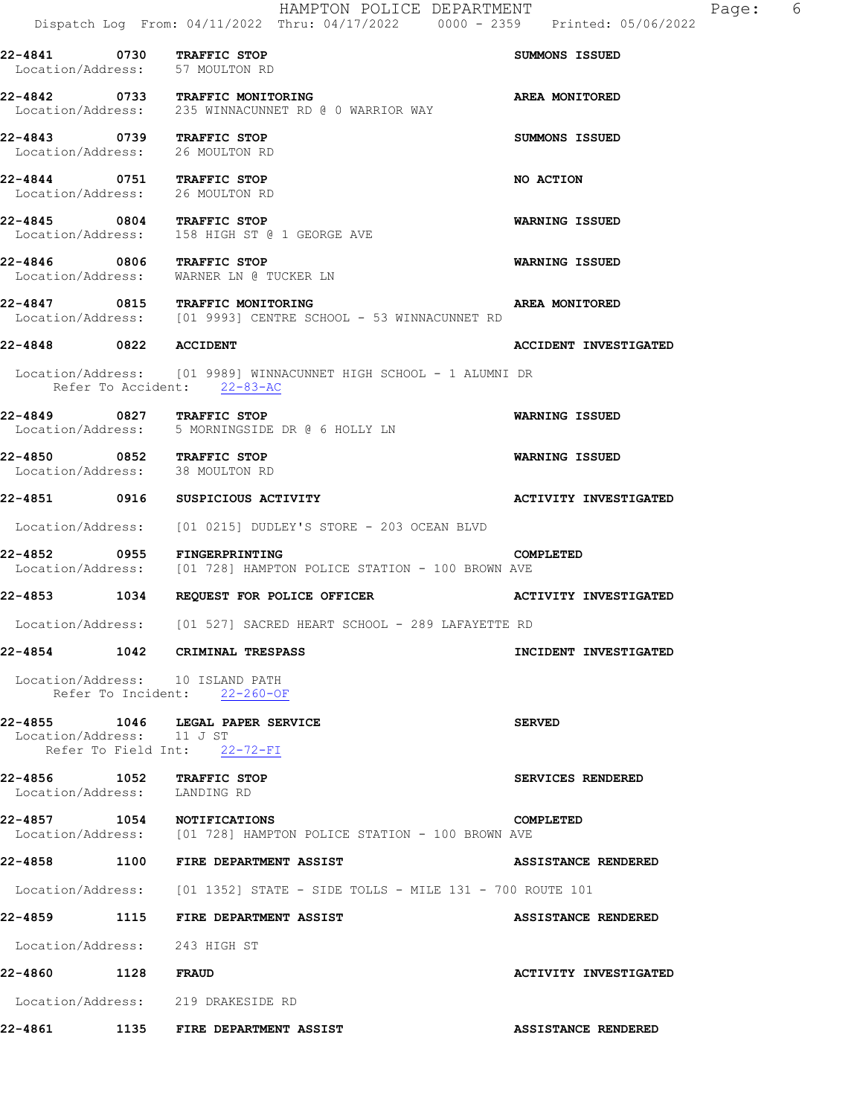**22-4841 0730 TRAFFIC STOP SUMMONS ISSUED**  Location/Address: 57 MOULTON RD **22-4842 0733 TRAFFIC MONITORING AREA MONITORED**  Location/Address: 235 WINNACUNNET RD @ 0 WARRIOR WAY **22-4843 0739 TRAFFIC STOP SUMMONS ISSUED**  Location/Address: 26 MOULTON RD **22-4844 0751 TRAFFIC STOP NO ACTION**  Location/Address: 26 MOULTON RD **22-4845 0804 TRAFFIC STOP WARNING ISSUED**  Location/Address: 158 HIGH ST @ 1 GEORGE AVE **22-4846 0806 TRAFFIC STOP WARNING ISSUED**  Location/Address: WARNER LN @ TUCKER LN **22-4847 0815 TRAFFIC MONITORING AREA MONITORED**  Location/Address: [01 9993] CENTRE SCHOOL - 53 WINNACUNNET RD **22-4848 0822 ACCIDENT ACCIDENT INVESTIGATED**  Location/Address: [01 9989] WINNACUNNET HIGH SCHOOL - 1 ALUMNI DR Refer To Accident: 22-83-AC **22-4849 0827 TRAFFIC STOP WARNING ISSUED**  Location/Address: 5 MORNINGSIDE DR @ 6 HOLLY LN **22-4850 0852 TRAFFIC STOP WARNING ISSUED**  Location/Address: 38 MOULTON RD **22-4851 0916 SUSPICIOUS ACTIVITY ACTIVITY INVESTIGATED**  Location/Address: [01 0215] DUDLEY'S STORE - 203 OCEAN BLVD **22-4852 0955 FINGERPRINTING COMPLETED**  Location/Address: [01 728] HAMPTON POLICE STATION - 100 BROWN AVE **22-4853 1034 REQUEST FOR POLICE OFFICER ACTIVITY INVESTIGATED**  Location/Address: [01 527] SACRED HEART SCHOOL - 289 LAFAYETTE RD **22-4854 1042 CRIMINAL TRESPASS INCIDENT INVESTIGATED**  Location/Address: 10 ISLAND PATH Refer To Incident: 22-260-OF **22-4855 1046 LEGAL PAPER SERVICE SERVED**  Location/Address: 11 J ST Refer To Field Int: 22-72-FI **22-4856 1052 TRAFFIC STOP SERVICES RENDERED**  Location/Address: LANDING RD **22-4857 1054 NOTIFICATIONS COMPLETED**  [01 728] HAMPTON POLICE STATION - 100 BROWN AVE **22-4858 1100 FIRE DEPARTMENT ASSIST ASSISTANCE RENDERED**  Location/Address: [01 1352] STATE - SIDE TOLLS - MILE 131 - 700 ROUTE 101 **22-4859 1115 FIRE DEPARTMENT ASSIST ASSISTANCE RENDERED**  Location/Address: 243 HIGH ST **22-4860 1128 FRAUD ACTIVITY INVESTIGATED** 

Location/Address: 219 DRAKESIDE RD

**22-4861 1135 FIRE DEPARTMENT ASSIST ASSISTANCE RENDERED**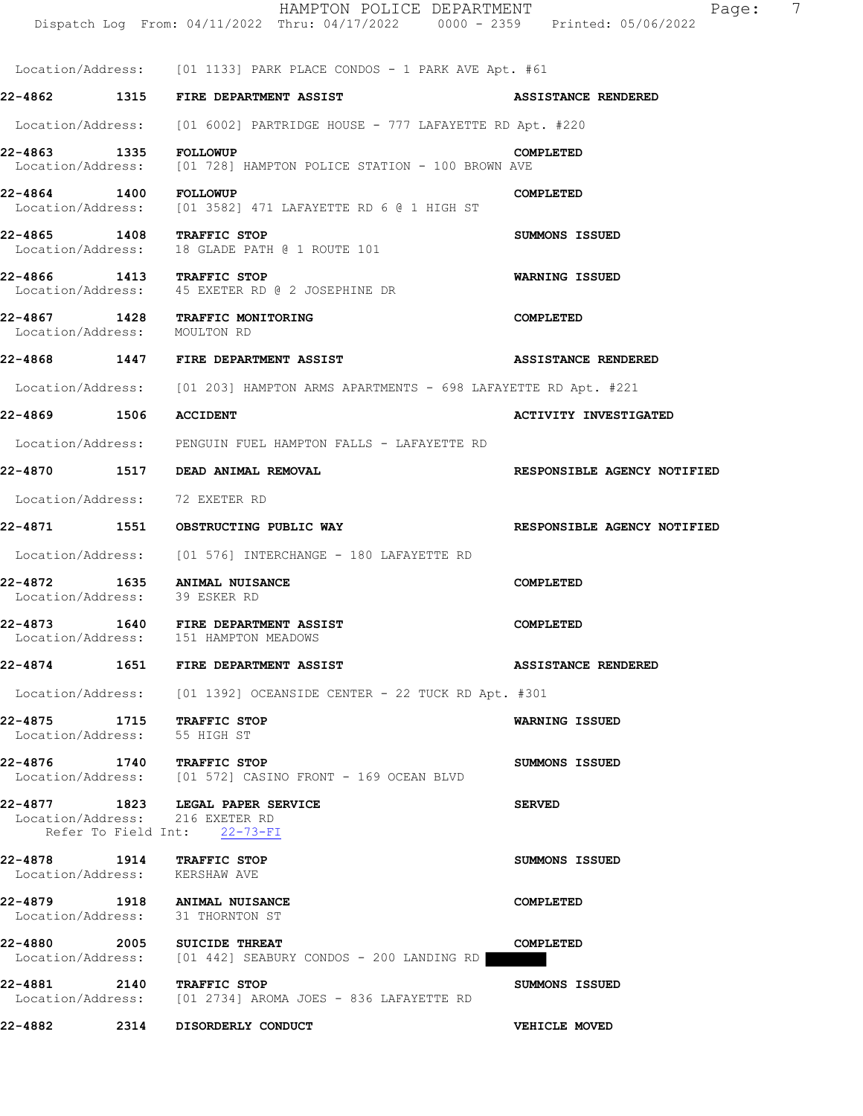|                               |      | HAMPTON POLICE DEPARTMENT<br>Dispatch Log From: 04/11/2022 Thru: 04/17/2022 0000 - 2359 Printed: 05/06/2022 | $\overline{7}$<br>Page:      |
|-------------------------------|------|-------------------------------------------------------------------------------------------------------------|------------------------------|
|                               |      | Location/Address: [01 1133] PARK PLACE CONDOS - 1 PARK AVE Apt. #61                                         |                              |
|                               |      | 22-4862 1315 FIRE DEPARTMENT ASSIST                                                                         | <b>ASSISTANCE RENDERED</b>   |
|                               |      | Location/Address: [01 6002] PARTRIDGE HOUSE - 777 LAFAYETTE RD Apt. #220                                    |                              |
|                               |      | Location/Address: [01 728] HAMPTON POLICE STATION - 100 BROWN AVE                                           | COMPLETED                    |
| 22-4864 1400                  |      | <b>FOLLOWUP</b><br>Location/Address: [01 3582] 471 LAFAYETTE RD 6 @ 1 HIGH ST                               | COMPLETED                    |
|                               |      | 22-4865 1408 TRAFFIC STOP<br>Location/Address: 18 GLADE PATH @ 1 ROUTE 101                                  | SUMMONS ISSUED               |
|                               |      | 22-4866 1413 TRAFFIC STOP<br>Location/Address: 45 EXETER RD @ 2 JOSEPHINE DR                                | WARNING ISSUED               |
| 22-4867<br>Location/Address:  |      | 1428 TRAFFIC MONITORING<br>MOULTON RD                                                                       | COMPLETED                    |
|                               |      | 22-4868  1447 FIRE DEPARTMENT ASSIST                                                                        | ASSISTANCE RENDERED          |
|                               |      | Location/Address: [01 203] HAMPTON ARMS APARTMENTS - 698 LAFAYETTE RD Apt. #221                             |                              |
| 22-4869 1506                  |      | <b>ACCIDENT</b>                                                                                             | <b>ACTIVITY INVESTIGATED</b> |
|                               |      | Location/Address: PENGUIN FUEL HAMPTON FALLS - LAFAYETTE RD                                                 |                              |
|                               |      |                                                                                                             | RESPONSIBLE AGENCY NOTIFIED  |
| Location/Address:             |      | 72 EXETER RD                                                                                                |                              |
|                               |      |                                                                                                             | RESPONSIBLE AGENCY NOTIFIED  |
|                               |      | Location/Address: [01 576] INTERCHANGE - 180 LAFAYETTE RD                                                   |                              |
| 22-4872<br>Location/Address:  | 1635 | <b>ANIMAL NUISANCE</b><br>39 ESKER RD                                                                       | COMPLETED                    |
| 22-4873                       |      | <b>1640 FIRE DEPARTMENT ASSIST</b><br>Location/Address: 151 HAMPTON MEADOWS                                 | COMPLETED                    |
|                               |      | 22-4874          1651    FIRE DEPARTMENT ASSIST                                                             | ASSISTANCE RENDERED          |
|                               |      | Location/Address: [01 1392] OCEANSIDE CENTER - 22 TUCK RD Apt. #301                                         |                              |
| Location/Address: 55 HIGH ST  |      | 22-4875 1715 TRAFFIC STOP                                                                                   | <b>WARNING ISSUED</b>        |
|                               |      | 22-4876 1740 TRAFFIC STOP<br>Location/Address: [01 572] CASINO FRONT - 169 OCEAN BLVD                       | SUMMONS ISSUED               |
|                               |      | 22-4877 1823 LEGAL PAPER SERVICE<br>Location/Address: 216 EXETER RD<br>Refer To Field Int: 22-73-FI         | <b>SERVED</b>                |
| Location/Address: KERSHAW AVE |      | 22-4878 1914 TRAFFIC STOP                                                                                   | SUMMONS ISSUED               |
|                               |      | 22-4879 1918 ANIMAL NUISANCE<br>Location/Address: 31 THORNTON ST                                            | COMPLETED                    |
|                               |      | 22-4880 2005 SUICIDE THREAT<br>Location/Address: [01 442] SEABURY CONDOS - 200 LANDING RD                   | COMPLETED                    |
|                               |      | 22-4881 2140 TRAFFIC STOP<br>Location/Address: [01 2734] AROMA JOES - 836 LAFAYETTE RD                      | SUMMONS ISSUED               |
| 22-4882                       |      | 2314 DISORDERLY CONDUCT                                                                                     | VEHICLE MOVED                |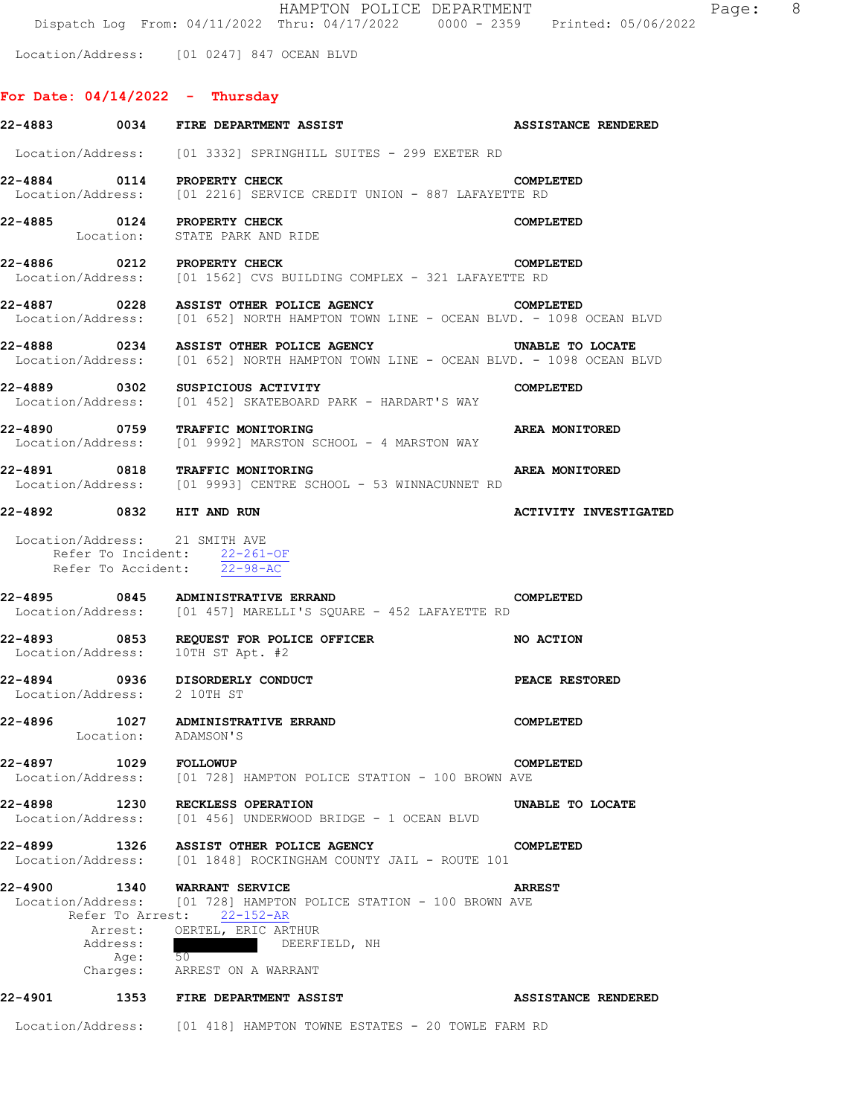HAMPTON POLICE DEPARTMENT FRAGILE Page: 8 Dispatch Log From: 04/11/2022 Thru: 04/17/2022 0000 - 2359 Printed: 05/06/2022

Location/Address: [01 0247] 847 OCEAN BLVD

# **For Date: 04/14/2022 - Thursday**

|                             |          | 22-4883 0034 FIRE DEPARTMENT ASSIST                                                                                                                                     | <b>ASSISTANCE RENDERED</b>   |
|-----------------------------|----------|-------------------------------------------------------------------------------------------------------------------------------------------------------------------------|------------------------------|
|                             |          | Location/Address: [01 3332] SPRINGHILL SUITES - 299 EXETER RD                                                                                                           |                              |
|                             |          | 22-4884 0114 PROPERTY CHECK<br>Location/Address: [01 2216] SERVICE CREDIT UNION - 887 LAFAYETTE RD                                                                      | <b>COMPLETED</b>             |
|                             |          | 22-4885 0124 PROPERTY CHECK<br>Location: STATE PARK AND RIDE                                                                                                            | COMPLETED                    |
|                             |          | 22-4886 0212 PROPERTY CHECK<br>Location/Address: [01 1562] CVS BUILDING COMPLEX - 321 LAFAYETTE RD                                                                      | COMPLETED                    |
|                             |          | 22-4887 0228 ASSIST OTHER POLICE AGENCY COMPLETED<br>Location/Address: [01 652] NORTH HAMPTON TOWN LINE - OCEAN BLVD. - 1098 OCEAN BLVD                                 |                              |
|                             |          | 22-4888 0234 ASSIST OTHER POLICE AGENCY UNABLE TO LOCATE<br>Location/Address: [01 652] NORTH HAMPTON TOWN LINE - OCEAN BLVD. - 1098 OCEAN BLVD                          |                              |
|                             |          | 22-4889 0302 SUSPICIOUS ACTIVITY<br>Location/Address: [01 452] SKATEBOARD PARK - HARDART'S WAY                                                                          | COMPLETED                    |
|                             |          | 22-4890 0759 TRAFFIC MONITORING<br>Location/Address: [01 9992] MARSTON SCHOOL - 4 MARSTON WAY                                                                           | <b>AREA MONITORED</b>        |
|                             |          | 22-4891 0818 TRAFFIC MONITORING<br>Location/Address: [01 9993] CENTRE SCHOOL - 53 WINNACUNNET RD                                                                        | AREA MONITORED               |
|                             |          | 22-4892 0832 HIT AND RUN                                                                                                                                                | <b>ACTIVITY INVESTIGATED</b> |
|                             |          | Location/Address: 21 SMITH AVE<br>Refer To Incident: 22-261-OF<br>Refer To Accident: 22-98-AC<br>22-4895 0845 ADMINISTRATIVE ERRAND                                     | COMPLETED                    |
|                             |          | Location/Address: [01 457] MARELLI'S SQUARE - 452 LAFAYETTE RD                                                                                                          |                              |
|                             |          | 22-4893 0853 REQUEST FOR POLICE OFFICER<br>Location/Address: 10TH ST Apt. #2                                                                                            | <b>NO ACTION</b>             |
| Location/Address: 2 10TH ST |          | 22-4894 0936 DISORDERLY CONDUCT                                                                                                                                         | <b>PEACE RESTORED</b>        |
|                             |          | 22-4896 1027 ADMINISTRATIVE ERRAND<br>Location: ADAMSON'S                                                                                                               | COMPLETED                    |
| 22-4897                     |          | <b>1029 FOLLOWUP</b><br>Location/Address: [01 728] HAMPTON POLICE STATION - 100 BROWN AVE                                                                               | COMPLETED                    |
| 22-4898                     |          | 1230 RECKLESS OPERATION<br>Location/Address: [01 456] UNDERWOOD BRIDGE - 1 OCEAN BLVD                                                                                   | UNABLE TO LOCATE             |
| 22-4899                     |          | 1326 ASSIST OTHER POLICE AGENCY<br>Location/Address: [01 1848] ROCKINGHAM COUNTY JAIL - ROUTE 101                                                                       | COMPLETED                    |
| 22-4900                     | Address: | 1340 WARRANT SERVICE<br>Location/Address: [01 728] HAMPTON POLICE STATION - 100 BROWN AVE<br>Refer To Arrest: 22-152-AR<br>Arrest: OERTEL, ERIC ARTHUR<br>DEERFIELD, NH | <b>ARREST</b>                |
|                             |          | Age: 50<br>Charges: ARREST ON A WARRANT                                                                                                                                 |                              |
| 22-4901                     |          | 1353 FIRE DEPARTMENT ASSIST                                                                                                                                             | ASSISTANCE RENDERED          |
|                             |          | Location/Address: [01 418] HAMPTON TOWNE ESTATES - 20 TOWLE FARM RD                                                                                                     |                              |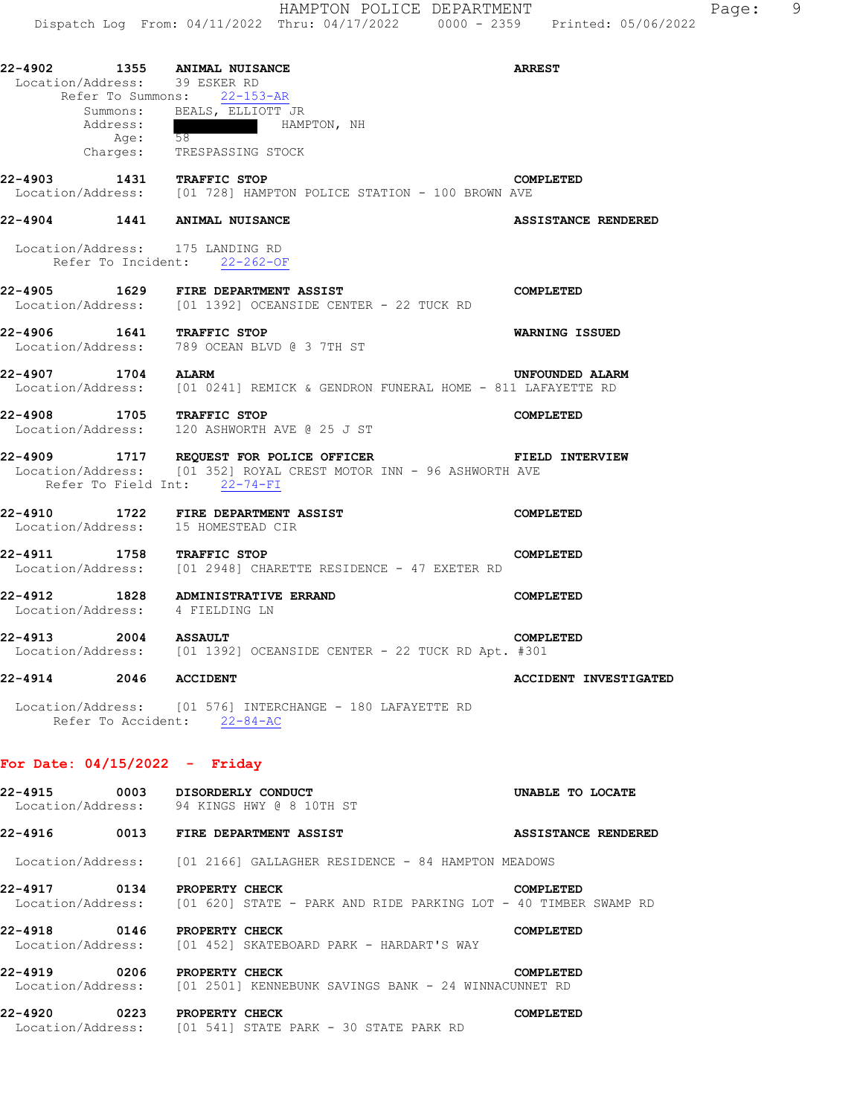| 22-4902 | 1355     | ANIMAL NUISANCE               |             |  | <b>ARREST</b> |  |
|---------|----------|-------------------------------|-------------|--|---------------|--|
|         |          | Location/Address: 39 ESKER RD |             |  |               |  |
|         |          | Refer To Summons: 22-153-AR   |             |  |               |  |
|         | Summons: | BEALS, ELLIOTT JR             |             |  |               |  |
|         | Address: |                               | HAMPTON, NH |  |               |  |

dress: HAMP<br>
Age: 58 Charges: TRESPASSING STOCK

**22-4903 1431 TRAFFIC STOP COMPLETED**  [01 728] HAMPTON POLICE STATION - 100 BROWN AVE

**22-4904 1441 ANIMAL NUISANCE ASSISTANCE RENDERED** 

 Location/Address: 175 LANDING RD Refer To Incident: 22-262-OF

## **22-4905 1629 FIRE DEPARTMENT ASSIST COMPLETED**  Location/Address: [01 1392] OCEANSIDE CENTER - 22 TUCK RD

**22-4906 1641 TRAFFIC STOP WARNING ISSUED**  Location/Address: 789 OCEAN BLVD @ 3 7TH ST

**22-4907 1704 ALARM UNFOUNDED ALARM**  Location/Address: [01 0241] REMICK & GENDRON FUNERAL HOME - 811 LAFAYETTE RD

**22-4908 1705 TRAFFIC STOP COMPLETED**  Location/Address: 120 ASHWORTH AVE @ 25 J ST

#### **22-4909 1717 REQUEST FOR POLICE OFFICER FIELD INTERVIEW**  Location/Address: [01 352] ROYAL CREST MOTOR INN - 96 ASHWORTH AVE Refer To Field Int: 22-74-FI

**22-4910 1722 FIRE DEPARTMENT ASSIST COMPLETED**  Location/Address: 15 HOMESTEAD CIR

**22-4911 1758 TRAFFIC STOP COMPLETED**  Location/Address: [01 2948] CHARETTE RESIDENCE - 47 EXETER RD

**22-4912 1828 ADMINISTRATIVE ERRAND COMPLETED**  Location/Address: 4 FIELDING LN

### **22-4913 2004 ASSAULT COMPLETED**  Location/Address: [01 1392] OCEANSIDE CENTER - 22 TUCK RD Apt. #301

**22-4914 2046 ACCIDENT ACCIDENT INVESTIGATED** 

 Location/Address: [01 576] INTERCHANGE - 180 LAFAYETTE RD Refer To Accident: 22-84-AC

## **For Date: 04/15/2022 - Friday**

| 0003<br>22-4915                      | DISORDERLY CONDUCT<br>UNABLE TO LOCATE<br>Location/Address: 94 KINGS HWY @ 8 10TH ST                             |
|--------------------------------------|------------------------------------------------------------------------------------------------------------------|
| 0013<br>22-4916                      | <b>FIRE DEPARTMENT ASSIST</b><br>ASSISTANCE RENDERED                                                             |
|                                      | Location/Address: [01 2166] GALLAGHER RESIDENCE - 84 HAMPTON MEADOWS                                             |
| 0134<br>22-4917                      | PROPERTY CHECK<br>COMPLETED<br>Location/Address: [01 620] STATE - PARK AND RIDE PARKING LOT - 40 TIMBER SWAMP RD |
| 22-4918<br>0146                      | PROPERTY CHECK<br>COMPLETED<br>Location/Address: [01 452] SKATEBOARD PARK - HARDART'S WAY                        |
| 0206<br>22-4919                      | PROPERTY CHECK<br>COMPLETED<br>Location/Address: [01 2501] KENNEBUNK SAVINGS BANK - 24 WINNACUNNET RD            |
| 0223<br>22-4920<br>Location/Address: | PROPERTY CHECK<br>COMPLETED<br>[01 541] STATE PARK - 30 STATE PARK RD                                            |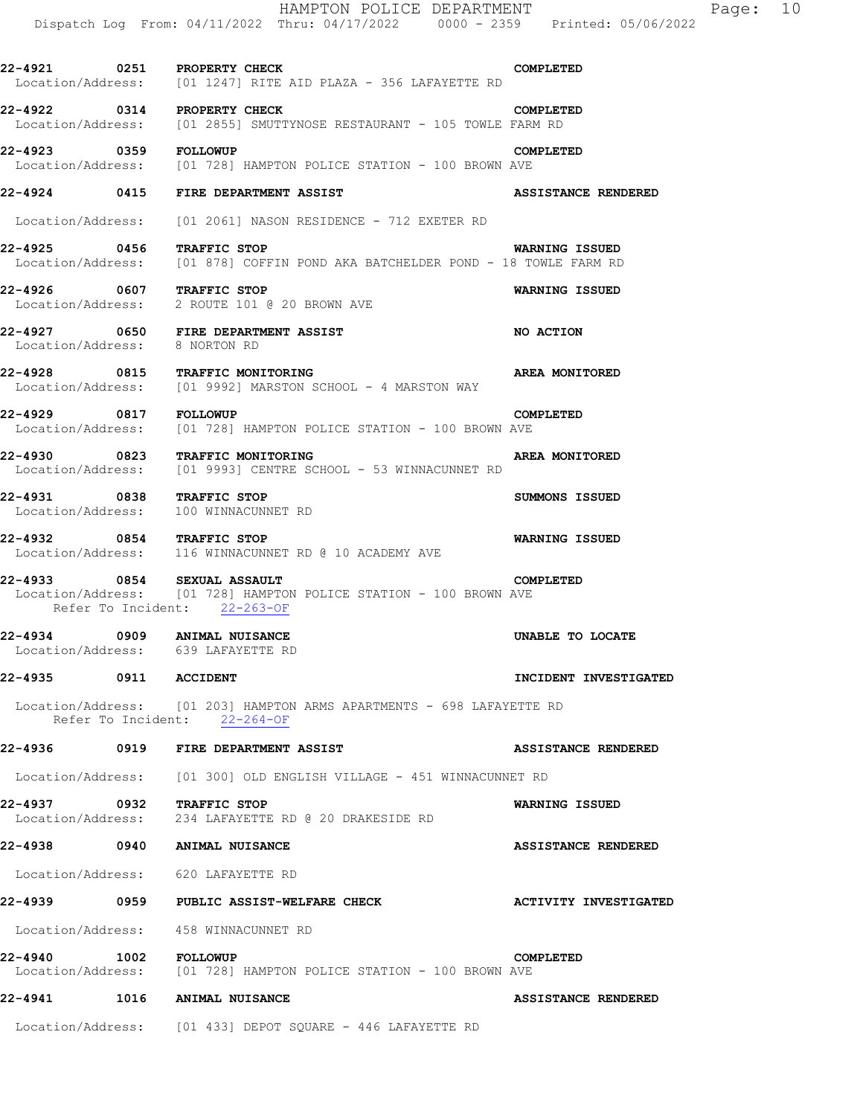|                               | HAMPTON POLICE DEPARTMENT<br>Dispatch Log From: 04/11/2022 Thru: 04/17/2022 0000 - 2359 Printed: 05/06/2022                      | Page: 10                   |
|-------------------------------|----------------------------------------------------------------------------------------------------------------------------------|----------------------------|
|                               |                                                                                                                                  |                            |
|                               | 22-4921 0251 PROPERTY CHECK<br>Location/Address: [01 1247] RITE AID PLAZA - 356 LAFAYETTE RD                                     | COMPLETED                  |
|                               | 22-4922 0314 PROPERTY CHECK<br>Location/Address: [01 2855] SMUTTYNOSE RESTAURANT - 105 TOWLE FARM RD                             | COMPLETED                  |
| 22-4923 0359 FOLLOWUP         | Location/Address: [01 728] HAMPTON POLICE STATION - 100 BROWN AVE                                                                | COMPLETED                  |
|                               | 22-4924 0415 FIRE DEPARTMENT ASSIST                                                                                              | <b>ASSISTANCE RENDERED</b> |
|                               | Location/Address: [01 2061] NASON RESIDENCE - 712 EXETER RD                                                                      |                            |
| 22-4925 0456 TRAFFIC STOP     | Location/Address: [01 878] COFFIN POND AKA BATCHELDER POND - 18 TOWLE FARM RD                                                    | WARNING ISSUED             |
|                               | 22-4926 0607 TRAFFIC STOP<br>Location/Address: 2 ROUTE 101 @ 20 BROWN AVE                                                        | WARNING ISSUED             |
| Location/Address: 8 NORTON RD |                                                                                                                                  | NO ACTION                  |
|                               | 22-4928 0815 TRAFFIC MONITORING<br>Location/Address: [01 9992] MARSTON SCHOOL - 4 MARSTON WAY                                    | AREA MONITORED             |
| 22-4929 0817 FOLLOWUP         | Location/Address: [01 728] HAMPTON POLICE STATION - 100 BROWN AVE                                                                | COMPLETED                  |
|                               | 22-4930 0823 TRAFFIC MONITORING<br>Location/Address: [01 9993] CENTRE SCHOOL - 53 WINNACUNNET RD                                 | <b>AREA MONITORED</b>      |
| Location/Address:             | 22-4931 0838 TRAFFIC STOP<br>100 WINNACUNNET RD                                                                                  | SUMMONS ISSUED             |
|                               | 22-4932 0854 TRAFFIC STOP<br>Location/Address: 116 WINNACUNNET RD @ 10 ACADEMY AVE                                               | WARNING ISSUED             |
|                               | 22-4933 0854 SEXUAL ASSAULT<br>Location/Address: [01 728] HAMPTON POLICE STATION - 100 BROWN AVE<br>Refer To Incident: 22-263-OF | COMPLETED                  |
| 22-4934                       | 0909 ANIMAL NUISANCE<br>Location/Address: 639 LAFAYETTE RD                                                                       | UNABLE TO LOCATE           |
| 22-4935 0911 ACCIDENT         |                                                                                                                                  | INCIDENT INVESTIGATED      |
|                               | Location/Address: [01 203] HAMPTON ARMS APARTMENTS - 698 LAFAYETTE RD<br>Refer To Incident: 22-264-OF                            |                            |
|                               |                                                                                                                                  | ASSISTANCE RENDERED        |
|                               | Location/Address: [01 300] OLD ENGLISH VILLAGE - 451 WINNACUNNET RD                                                              |                            |
|                               | 22-4937 0932 TRAFFIC STOP<br>Location/Address: 234 LAFAYETTE RD @ 20 DRAKESIDE RD                                                | WARNING ISSUED             |
|                               | 22-4938 0940 ANIMAL NUISANCE                                                                                                     | ASSISTANCE RENDERED        |
|                               | Location/Address: 620 LAFAYETTE RD                                                                                               |                            |
|                               |                                                                                                                                  | ACTIVITY INVESTIGATED      |
|                               | Location/Address: 458 WINNACUNNET RD                                                                                             |                            |
| 22-4940 1002 FOLLOWUP         | Location/Address: [01 728] HAMPTON POLICE STATION - 100 BROWN AVE                                                                | COMPLETED                  |
|                               | 22-4941 1016 ANIMAL NUISANCE                                                                                                     | ASSISTANCE RENDERED        |
|                               | Location/Address: [01 433] DEPOT SQUARE - 446 LAFAYETTE RD                                                                       |                            |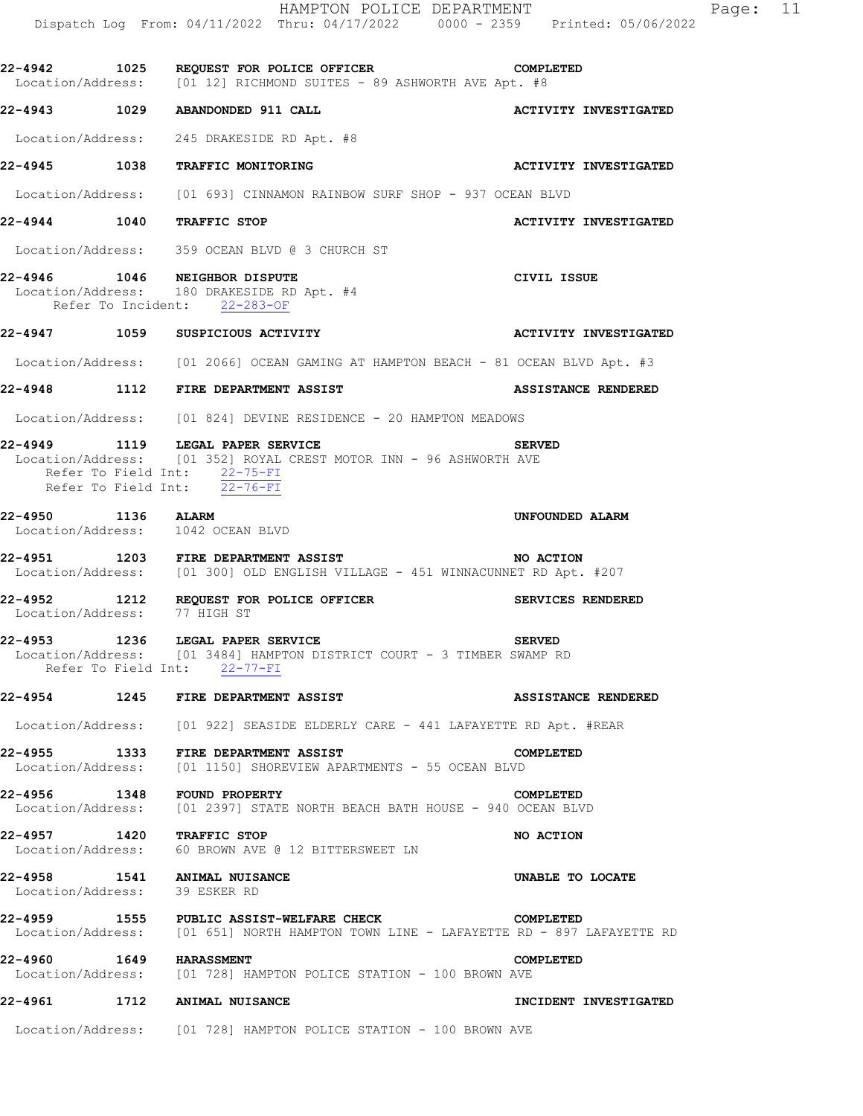|                               | HAMPTON POLICE DEPARTMENT<br>Dispatch Log From: 04/11/2022 Thru: 04/17/2022 0000 - 2359 Printed: 05/06/2022                                                                         | Page: 11                     |
|-------------------------------|-------------------------------------------------------------------------------------------------------------------------------------------------------------------------------------|------------------------------|
|                               | 22-4942 1025 REQUEST FOR POLICE OFFICER COMPLETED<br>Location/Address: [01 12] RICHMOND SUITES - 89 ASHWORTH AVE Apt. #8                                                            |                              |
|                               | 22-4943 1029 ABANDONDED 911 CALL                                                                                                                                                    | <b>ACTIVITY INVESTIGATED</b> |
|                               | Location/Address: 245 DRAKESIDE RD Apt. #8                                                                                                                                          |                              |
|                               | 22-4945 1038 TRAFFIC MONITORING                                                                                                                                                     | <b>ACTIVITY INVESTIGATED</b> |
|                               | Location/Address: [01 693] CINNAMON RAINBOW SURF SHOP - 937 OCEAN BLVD                                                                                                              |                              |
| 22-4944 1040 TRAFFIC STOP     |                                                                                                                                                                                     | <b>ACTIVITY INVESTIGATED</b> |
|                               | Location/Address: 359 OCEAN BLVD @ 3 CHURCH ST                                                                                                                                      |                              |
|                               | 22-4946 1046 NEIGHBOR DISPUTE<br>Location/Address: 180 DRAKESIDE RD Apt. #4<br>Refer To Incident: 22-283-OF                                                                         | CIVIL ISSUE                  |
|                               | 22-4947 1059 SUSPICIOUS ACTIVITY                                                                                                                                                    | <b>ACTIVITY INVESTIGATED</b> |
|                               | Location/Address: [01 2066] OCEAN GAMING AT HAMPTON BEACH - 81 OCEAN BLVD Apt. #3                                                                                                   |                              |
|                               | 22-4948 1112 FIRE DEPARTMENT ASSIST                                                                                                                                                 | ASSISTANCE RENDERED          |
|                               | Location/Address: [01 824] DEVINE RESIDENCE - 20 HAMPTON MEADOWS                                                                                                                    |                              |
|                               | 22-4949 1119 LEGAL PAPER SERVICE<br>Location/Address: [01 352] ROYAL CREST MOTOR INN - 96 ASHWORTH AVE<br>Refer To Field Int: 22-75-FI<br>Refer To Field Int: $\overline{22-76-FI}$ | <b>SERVED</b>                |
| 22-4950 1136 ALARM            | Location/Address: 1042 OCEAN BLVD                                                                                                                                                   | UNFOUNDED ALARM              |
|                               | 22-4951 1203 FIRE DEPARTMENT ASSIST<br>-- ----<br>Location/Address: [01 300] OLD ENGLISH VILLAGE - 451 WINNACUNNET RD Apt. #207                                                     | NO ACTION                    |
| Location/Address: 77 HIGH ST  | 22-4952 1212 REQUEST FOR POLICE OFFICER                                                                                                                                             | SERVICES RENDERED            |
|                               | 22-4953 1236 LEGAL PAPER SERVICE<br>Location/Address: [01 3484] HAMPTON DISTRICT COURT - 3 TIMBER SWAMP RD<br>Refer To Field Int: 22-77-FI                                          | <b>SERVED</b>                |
|                               | 22-4954 1245 FIRE DEPARTMENT ASSIST                                                                                                                                                 | <b>ASSISTANCE RENDERED</b>   |
|                               | Location/Address: [01 922] SEASIDE ELDERLY CARE - 441 LAFAYETTE RD Apt. #REAR                                                                                                       |                              |
|                               | 22-4955 1333 FIRE DEPARTMENT ASSIST CONDERLIGIT CONDUCT LOCALLON/Address: [01 1150] SHOREVIEW APARTMENTS - 55 OCEAN BLVD                                                            | COMPLETED                    |
|                               | 22-4956 1348 FOUND PROPERTY<br>Location/Address: [01 2397] STATE NORTH BEACH BATH HOUSE - 940 OCEAN BLVD                                                                            | COMPLETED                    |
| 22-4957 1420 TRAFFIC STOP     | Location/Address: 60 BROWN AVE @ 12 BITTERSWEET LN                                                                                                                                  | NO ACTION                    |
| Location/Address: 39 ESKER RD | 22-4958 1541 ANIMAL NUISANCE                                                                                                                                                        | UNABLE TO LOCATE             |
|                               | 22-4959 1555 PUBLIC ASSIST-WELFARE CHECK<br><b>COMPLETED</b><br>Location/Address: [01 651] NORTH HAMPTON TOWN LINE - LAFAYETTE RD - 897 LAFAYETTE RD                                |                              |
| 22-4960 1649 HARASSMENT       | Location/Address: [01 728] HAMPTON POLICE STATION - 100 BROWN AVE                                                                                                                   | COMPLETED                    |
|                               | 22-4961 1712 ANIMAL NUISANCE                                                                                                                                                        | INCIDENT INVESTIGATED        |
|                               | Location/Address: [01 728] HAMPTON POLICE STATION - 100 BROWN AVE                                                                                                                   |                              |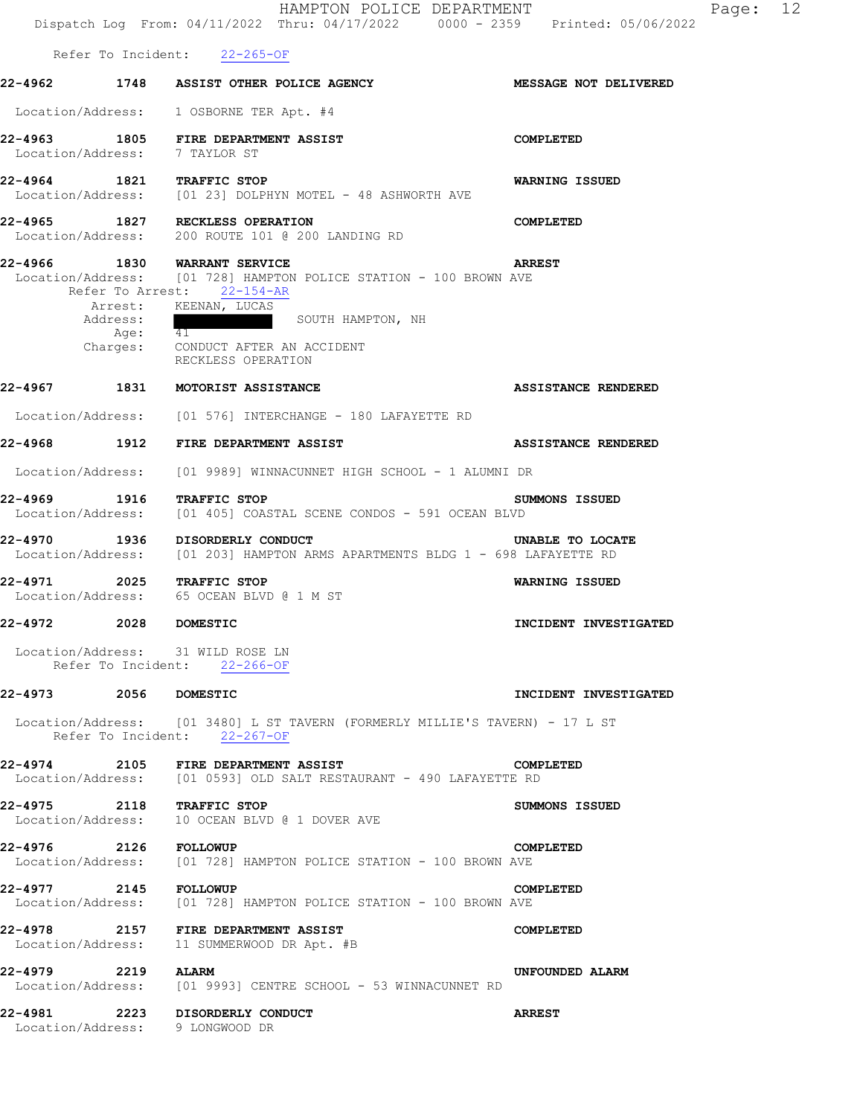|                                                                   | HAMPTON POLICE DEPARTMENT<br>Dispatch Log From: 04/11/2022 Thru: 04/17/2022 0000 - 2359 Printed: 05/06/2022                                                                                                          |                            |
|-------------------------------------------------------------------|----------------------------------------------------------------------------------------------------------------------------------------------------------------------------------------------------------------------|----------------------------|
| Refer To Incident: 22-265-OF                                      |                                                                                                                                                                                                                      |                            |
|                                                                   | 22-4962 1748 ASSIST OTHER POLICE AGENCY                                                                                                                                                                              | MESSAGE NOT DELIVERED      |
|                                                                   | Location/Address: 1 OSBORNE TER Apt. #4                                                                                                                                                                              |                            |
| Location/Address: 7 TAYLOR ST                                     | $22-4963$ 1805 FIRE DEPARTMENT ASSIST                                                                                                                                                                                | COMPLETED                  |
|                                                                   | 22-4964 1821 TRAFFIC STOP<br>Location/Address: [01 23] DOLPHYN MOTEL - 48 ASHWORTH AVE                                                                                                                               | WARNING ISSUED             |
| 22-4965 1827 RECKLESS OPERATION                                   | Location/Address: 200 ROUTE 101 @ 200 LANDING RD                                                                                                                                                                     | COMPLETED                  |
| 22-4966 1830 WARRANT SERVICE<br>Address:                          | Location/Address: [01 728] HAMPTON POLICE STATION - 100 BROWN AVE<br>Refer To Arrest: 22-154-AR<br>Arrest: KEENAN, LUCAS<br>SOUTH HAMPTON, NH<br>Age: 41<br>Charges: CONDUCT AFTER AN ACCIDENT<br>RECKLESS OPERATION | <b>ARREST</b>              |
| 22-4967 1831 MOTORIST ASSISTANCE                                  |                                                                                                                                                                                                                      | <b>ASSISTANCE RENDERED</b> |
|                                                                   | Location/Address: [01 576] INTERCHANGE - 180 LAFAYETTE RD                                                                                                                                                            |                            |
| 22-4968 1912 FIRE DEPARTMENT ASSIST                               |                                                                                                                                                                                                                      | <b>ASSISTANCE RENDERED</b> |
|                                                                   | Location/Address: [01 9989] WINNACUNNET HIGH SCHOOL - 1 ALUMNI DR                                                                                                                                                    |                            |
| 22-4969 1916 TRAFFIC STOP                                         | Location/Address: [01 405] COASTAL SCENE CONDOS - 591 OCEAN BLVD                                                                                                                                                     | SUMMONS ISSUED             |
| 22-4970 1936 DISORDERLY CONDUCT                                   | Location/Address: [01 203] HAMPTON ARMS APARTMENTS BLDG 1 - 698 LAFAYETTE RD                                                                                                                                         | UNABLE TO LOCATE           |
| 2025 TRAFFIC STOP<br>22-4971                                      | Location/Address: 65 OCEAN BLVD @ 1 M ST                                                                                                                                                                             | WARNING ISSUED             |
| 22-4972<br>2028                                                   | <b>DOMESTIC</b>                                                                                                                                                                                                      | INCIDENT INVESTIGATED      |
| Location/Address: 31 WILD ROSE LN<br>Refer To Incident: 22-266-OF |                                                                                                                                                                                                                      |                            |
| 22-4973 2056 DOMESTIC                                             |                                                                                                                                                                                                                      | INCIDENT INVESTIGATED      |
| Refer To Incident: 22-267-OF                                      | Location/Address: [01 3480] L ST TAVERN (FORMERLY MILLIE'S TAVERN) - 17 L ST                                                                                                                                         |                            |
|                                                                   | 22-4974 2105 FIRE DEPARTMENT ASSIST<br>Location/Address: [01 0593] OLD SALT RESTAURANT - 490 LAFAYETTE RD                                                                                                            | COMPLETED                  |
|                                                                   | 22-4975 2118 TRAFFIC STOP<br>Location/Address: 10 OCEAN BLVD @ 1 DOVER AVE                                                                                                                                           | SUMMONS ISSUED             |
| 22-4976 2126 FOLLOWUP                                             | Location/Address: [01 728] HAMPTON POLICE STATION - 100 BROWN AVE                                                                                                                                                    | COMPLETED                  |
| 22-4977 2145 FOLLOWUP                                             | Location/Address: [01 728] HAMPTON POLICE STATION - 100 BROWN AVE                                                                                                                                                    | COMPLETED                  |
|                                                                   | 22-4978 2157 FIRE DEPARTMENT ASSIST<br>Location/Address: 11 SUMMERWOOD DR Apt. #B                                                                                                                                    | COMPLETED                  |
| 22-4979 2219 ALARM                                                | Location/Address: [01 9993] CENTRE SCHOOL - 53 WINNACUNNET RD                                                                                                                                                        | UNFOUNDED ALARM            |
| 22-4981<br>Location/Address: 9 LONGWOOD DR                        | 2223 DISORDERLY CONDUCT                                                                                                                                                                                              | <b>ARREST</b>              |

Page: 12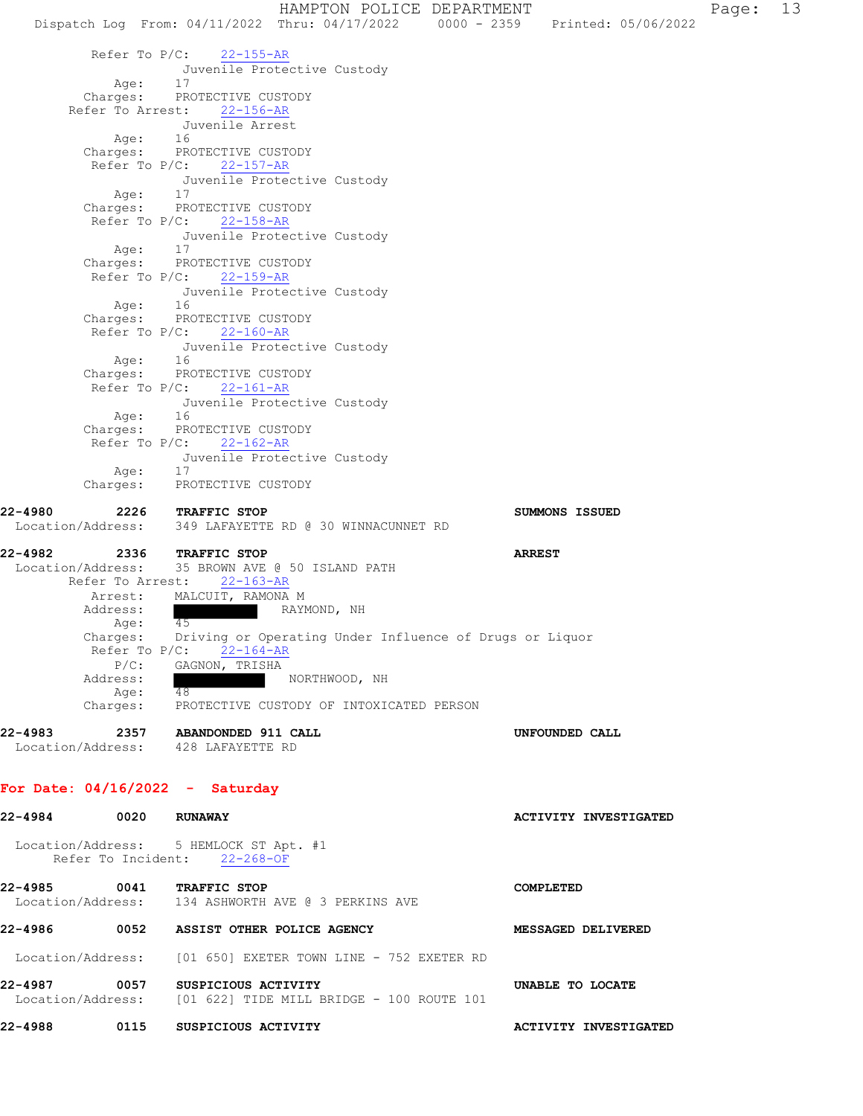Dispatch Log From: 04/11/2022 Thru: 04/17/2022 0000 - 2359 Printed: 05/06/2022 Refer To P/C: 22-155-AR Juvenile Protective Custody Age: 17 Charges: PROTECTIVE CUSTODY Refer To Arrest: 22-156-AR Juvenile Arrest Age: 16 Charges: PROTECTIVE CUSTODY Refer To P/C: 22-157-AR Juvenile Protective Custody Age: 17 Charges: PROTECTIVE CUSTODY Refer To P/C: 22-158-AR Juvenile Protective Custody Age: 17 Charges: PROTECTIVE CUSTODY Refer To P/C: 22-159-AR Juvenile Protective Custody<br>16 Age: Charges: PROTECTIVE CUSTODY Refer To P/C: 22-160-AR Juvenile Protective Custody Age: 16 Charges: PROTECTIVE CUSTODY Refer To P/C: 22-161-AR Juvenile Protective Custody Age: 16 Charges: PROTECTIVE CUSTODY Refer To P/C: 22-162-AR Juvenile Protective Custody Age: 17 Charges: PROTECTIVE CUSTODY **22-4980 2226 TRAFFIC STOP SUMMONS ISSUED**  Location/Address: 349 LAFAYETTE RD @ 30 WINNACUNNET RD **22-4982 2336 TRAFFIC STOP ARREST**  Location/Address: 35 BROWN AVE @ 50 ISLAND PATH Refer To Arrest: 22-163-AR Arrest: MALCUIT, RAMONA M Address: RAYMOND, NH Age: 45 Charges: Driving or Operating Under Influence of Drugs or Liquor Refer To P/C: 22-164-AR P/C: GAGNON, TRISHA Address: NORTHWOOD, NH Age: 48<br>Charges: PR PROTECTIVE CUSTODY OF INTOXICATED PERSON **22-4983 2357 ABANDONDED 911 CALL UNFOUNDED CALL**  Location/Address: 428 LAFAYETTE RD **For Date: 04/16/2022 - Saturday 22-4984 0020 RUNAWAY ACTIVITY INVESTIGATED**  Location/Address: 5 HEMLOCK ST Apt. #1 Refer To Incident: 22-268-OF **22-4985 0041 TRAFFIC STOP COMPLETED**  Location/Address: 134 ASHWORTH AVE @ 3 PERKINS AVE **22-4986 0052 ASSIST OTHER POLICE AGENCY MESSAGED DELIVERED**  Location/Address: [01 650] EXETER TOWN LINE - 752 EXETER RD

**22-4987 0057 SUSPICIOUS ACTIVITY UNABLE TO LOCATE**  Location/Address: [01 622] TIDE MILL BRIDGE - 100 ROUTE 101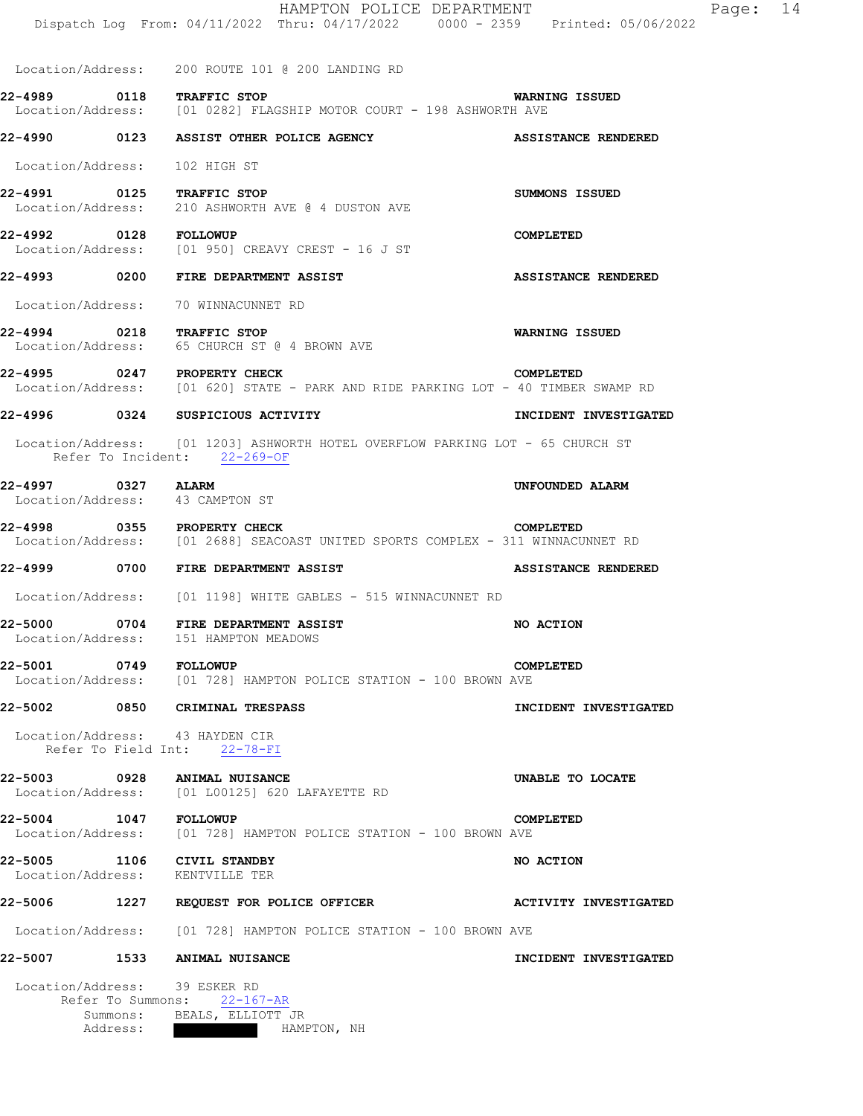|                                                               |      | HAMPTON POLICE DEPARTMENT<br>Dispatch Log From: 04/11/2022 Thru: 04/17/2022 0000 - 2359 Printed: 05/06/2022    | Page: 14                   |
|---------------------------------------------------------------|------|----------------------------------------------------------------------------------------------------------------|----------------------------|
|                                                               |      | Location/Address: 200 ROUTE 101 @ 200 LANDING RD                                                               |                            |
| 22-4989 0118 TRAFFIC STOP                                     |      | Location/Address: [01 0282] FLAGSHIP MOTOR COURT - 198 ASHWORTH AVE                                            | WARNING ISSUED             |
|                                                               |      | 22-4990                0123       ASSIST OTHER POLICE AGENCY                                                   | <b>ASSISTANCE RENDERED</b> |
| Location/Address: 102 HIGH ST                                 |      |                                                                                                                |                            |
| 22-4991 0125 TRAFFIC STOP                                     |      | Location/Address: 210 ASHWORTH AVE @ 4 DUSTON AVE                                                              | <b>SUMMONS ISSUED</b>      |
| 22-4992 0128 FOLLOWUP                                         |      | Location/Address: [01 950] CREAVY CREST - 16 J ST                                                              | COMPLETED                  |
|                                                               |      | 22-4993 0200 FIRE DEPARTMENT ASSIST                                                                            | <b>ASSISTANCE RENDERED</b> |
|                                                               |      | Location/Address: 70 WINNACUNNET RD                                                                            |                            |
| 22-4994 0218 TRAFFIC STOP                                     |      | Location/Address: 65 CHURCH ST @ 4 BROWN AVE                                                                   | <b>WARNING ISSUED</b>      |
| 22-4995 0247 PROPERTY CHECK                                   |      | Location/Address: [01 620] STATE - PARK AND RIDE PARKING LOT - 40 TIMBER SWAMP RD                              | COMPLETED                  |
|                                                               |      | 22-4996 0324 SUSPICIOUS ACTIVITY                                                                               | INCIDENT INVESTIGATED      |
|                                                               |      | Location/Address: [01 1203] ASHWORTH HOTEL OVERFLOW PARKING LOT - 65 CHURCH ST<br>Refer To Incident: 22-269-OF |                            |
| 22-4997 0327 ALARM<br>Location/Address: 43 CAMPTON ST         |      |                                                                                                                | UNFOUNDED ALARM            |
| 22-4998 0355 PROPERTY CHECK                                   |      | Location/Address: [01 2688] SEACOAST UNITED SPORTS COMPLEX - 311 WINNACUNNET RD                                | COMPLETED                  |
|                                                               |      | 22-4999 0700 FIRE DEPARTMENT ASSIST                                                                            | <b>ASSISTANCE RENDERED</b> |
|                                                               |      | Location/Address: [01 1198] WHITE GABLES - 515 WINNACUNNET RD                                                  |                            |
| 22-5000                                                       | 0704 | FIRE DEPARTMENT ASSIST<br>Location/Address: 151 HAMPTON MEADOWS                                                | NO ACTION                  |
|                                                               |      | COM COMP COLLOWUP<br>Location/Address: [01 728] HAMPTON POLICE STATION - 100 BROWN AVE                         | COMPLETED                  |
|                                                               |      | 22-5002 0850 CRIMINAL TRESPASS                                                                                 | INCIDENT INVESTIGATED      |
| Location/Address: 43 HAYDEN CIR                               |      | Refer To Field Int: 22-78-FI                                                                                   |                            |
|                                                               |      | 22-5003 0928 ANIMAL NUISANCE<br>Location/Address: [01 L00125] 620 LAFAYETTE RD                                 | UNABLE TO LOCATE           |
| 22-5004 1047 FOLLOWUP                                         |      | Location/Address: [01 728] HAMPTON POLICE STATION - 100 BROWN AVE                                              | COMPLETED                  |
| 22-5005 1106 CIVIL STANDBY<br>Location/Address: KENTVILLE TER |      |                                                                                                                | NO ACTION                  |
|                                                               |      | 22-5006 1227 REQUEST FOR POLICE OFFICER THE MOTIVITY INVESTIGATED                                              |                            |
|                                                               |      | Location/Address: [01 728] HAMPTON POLICE STATION - 100 BROWN AVE                                              |                            |
|                                                               |      | 22-5007 1533 ANIMAL NUISANCE                                                                                   | INCIDENT INVESTIGATED      |

 Location/Address: 39 ESKER RD Refer To Summons: 22-167-AR Summons: BEALS, ELLIOTT JR Address: HAMPTON, NH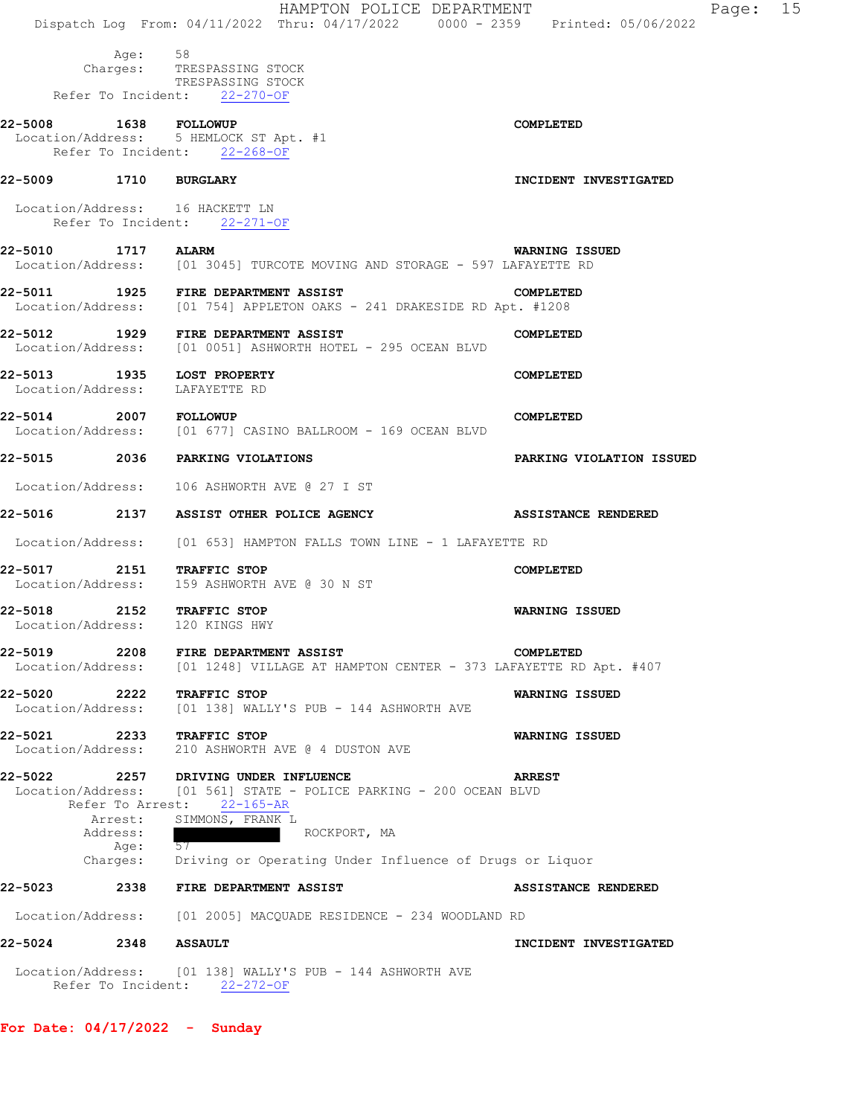|         |                                                 | HAMPTON POLICE DEPARTMENT<br>Dispatch Log From: 04/11/2022 Thru: 04/17/2022 0000 - 2359 Printed: 05/06/2022                                                             | Page: 15                   |  |
|---------|-------------------------------------------------|-------------------------------------------------------------------------------------------------------------------------------------------------------------------------|----------------------------|--|
|         | Age: 58                                         | Charges: TRESPASSING STOCK<br>TRESPASSING STOCK<br>Refer To Incident: 22-270-OF                                                                                         |                            |  |
|         | 22-5008 1638 FOLLOWUP                           | Location/Address: 5 HEMLOCK ST Apt. #1<br>Refer To Incident: 22-268-OF                                                                                                  | <b>COMPLETED</b>           |  |
|         | 22-5009 1710 BURGLARY                           |                                                                                                                                                                         | INCIDENT INVESTIGATED      |  |
|         |                                                 | Location/Address: 16 HACKETT LN<br>Refer To Incident: 22-271-OF                                                                                                         |                            |  |
|         | 22-5010 1717 ALARM                              | Location/Address: [01 3045] TURCOTE MOVING AND STORAGE - 597 LAFAYETTE RD                                                                                               | WARNING ISSUED             |  |
|         |                                                 | 22-5011 1925 FIRE DEPARTMENT ASSIST<br>Location/Address: [01 754] APPLETON OAKS - 241 DRAKESIDE RD Apt. #1208                                                           | COMPLETED                  |  |
|         |                                                 | 22-5012 1929 FIRE DEPARTMENT ASSIST<br>Location/Address: [01 0051] ASHWORTH HOTEL - 295 OCEAN BLVD                                                                      | COMPLETED                  |  |
|         | Location/Address:                               | 22-5013 1935 LOST PROPERTY<br>LAFAYETTE RD                                                                                                                              | COMPLETED                  |  |
| 22-5014 | 2007 FOLLOWUP                                   | Location/Address: [01 677] CASINO BALLROOM - 169 OCEAN BLVD                                                                                                             | COMPLETED                  |  |
|         |                                                 | 22-5015 2036 PARKING VIOLATIONS                                                                                                                                         | PARKING VIOLATION ISSUED   |  |
|         |                                                 | Location/Address: 106 ASHWORTH AVE @ 27 I ST                                                                                                                            |                            |  |
|         |                                                 | 22-5016               2137     ASSIST OTHER POLICE AGENCY                                                                                                               | <b>ASSISTANCE RENDERED</b> |  |
|         | Location/Address:                               | [01 653] HAMPTON FALLS TOWN LINE - 1 LAFAYETTE RD                                                                                                                       |                            |  |
|         |                                                 | 22-5017 2151 TRAFFIC STOP<br>Location/Address: 159 ASHWORTH AVE @ 30 N ST                                                                                               | COMPLETED                  |  |
|         |                                                 | 22-5018 2152 TRAFFIC STOP<br>Location/Address: 120 KINGS HWY                                                                                                            | <b>WARNING ISSUED</b>      |  |
|         | Location/Address:                               | 22-5019 2208 FIRE DEPARTMENT ASSIST<br>[01 1248] VILLAGE AT HAMPTON CENTER - 373 LAFAYETTE RD Apt. #407                                                                 | COMPLETED                  |  |
| 22-5020 | 2222<br>Location/Address:                       | TRAFFIC STOP<br>[01 138] WALLY'S PUB - 144 ASHWORTH AVE                                                                                                                 | <b>WARNING ISSUED</b>      |  |
| 22-5021 | 2233<br>Location/Address:                       | TRAFFIC STOP<br>210 ASHWORTH AVE @ 4 DUSTON AVE                                                                                                                         | WARNING ISSUED             |  |
|         | Refer To Arrest:<br>Arrest:<br>Address:<br>Age: | 22-5022 2257 DRIVING UNDER INFLUENCE<br>Location/Address: [01 561] STATE - POLICE PARKING - 200 OCEAN BLVD<br>$22 - 165 - AR$<br>SIMMONS, FRANK L<br>ROCKPORT, MA<br>57 | <b>ARREST</b>              |  |
|         | Charges:                                        | Driving or Operating Under Influence of Drugs or Liquor                                                                                                                 |                            |  |
| 22-5023 | 2338                                            | FIRE DEPARTMENT ASSIST<br>Location/Address: [01 2005] MACQUADE RESIDENCE - 234 WOODLAND RD                                                                              | <b>ASSISTANCE RENDERED</b> |  |
|         | 22-5024 2348                                    | <b>ASSAULT</b>                                                                                                                                                          | INCIDENT INVESTIGATED      |  |
|         |                                                 | Location/Address: [01 138] WALLY'S PUB - 144 ASHWORTH AVE                                                                                                               |                            |  |
|         |                                                 | Refer To Incident: 22-272-OF                                                                                                                                            |                            |  |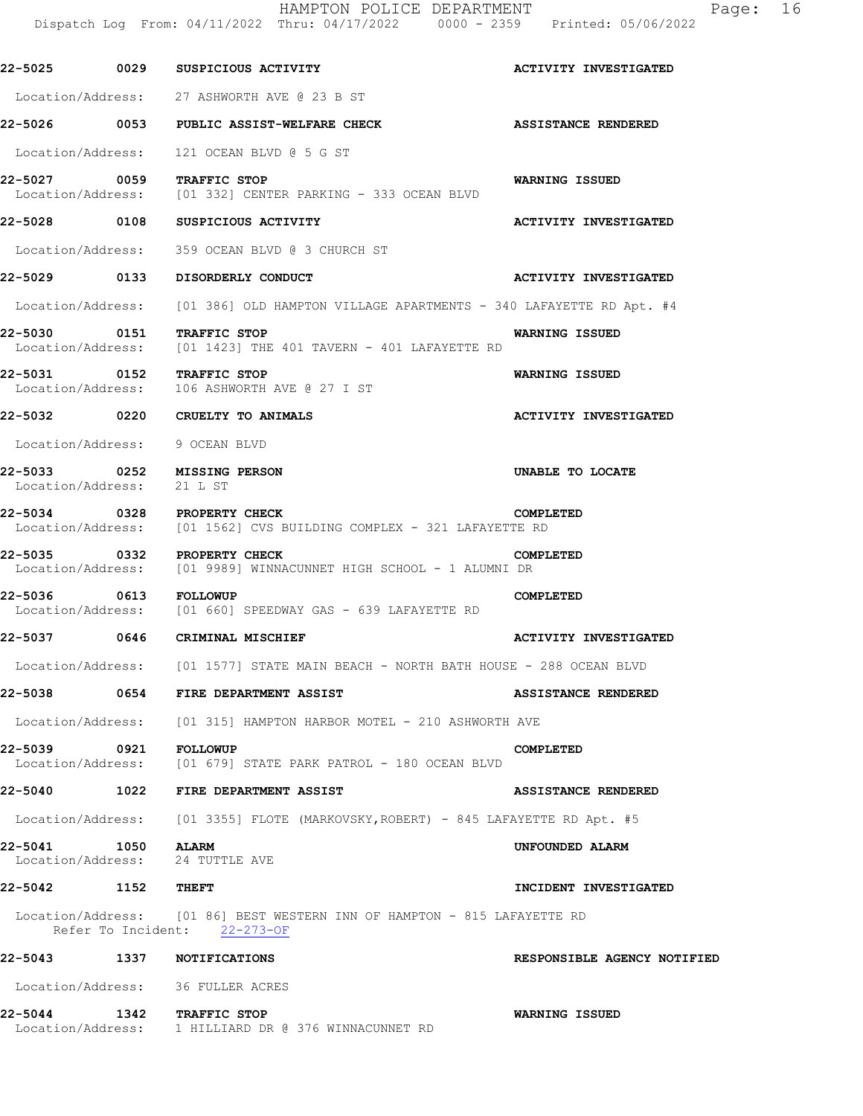HAMPTON POLICE DEPARTMENT Fage: 16 Dispatch Log From: 04/11/2022 Thru: 04/17/2022 0000 - 2359 Printed: 05/06/2022

**22-5025 0029 SUSPICIOUS ACTIVITY ACTIVITY INVESTIGATED**  Location/Address: 27 ASHWORTH AVE @ 23 B ST **22-5026 0053 PUBLIC ASSIST-WELFARE CHECK ASSISTANCE RENDERED**  Location/Address: 121 OCEAN BLVD @ 5 G ST **22-5027 0059 TRAFFIC STOP WARNING ISSUED**  Location/Address: [01 332] CENTER PARKING - 333 OCEAN BLVD **22-5028 0108 SUSPICIOUS ACTIVITY ACTIVITY INVESTIGATED**  Location/Address: 359 OCEAN BLVD @ 3 CHURCH ST **22-5029 0133 DISORDERLY CONDUCT ACTIVITY INVESTIGATED**  Location/Address: [01 386] OLD HAMPTON VILLAGE APARTMENTS - 340 LAFAYETTE RD Apt. #4 **22-5030 0151 TRAFFIC STOP WARNING ISSUED**<br>Location/Address: [01 1423] THE 401 TAVERN - 401 LAFAYETTE RD Location/Address: [01 1423] THE 401 TAVERN - 401 LAFAYETTE RD **22-5031 0152 TRAFFIC STOP WARNING ISSUED**  Location/Address: 106 ASHWORTH AVE @ 27 I ST **22-5032 0220 CRUELTY TO ANIMALS ACTIVITY INVESTIGATED**  Location/Address: 9 OCEAN BLVD **22-5033 0252 MISSING PERSON UNABLE TO LOCATE**  Location/Address: 21 L ST **22-5034 0328 PROPERTY CHECK COMPLETED**  Location/Address: [01 1562] CVS BUILDING COMPLEX - 321 LAFAYETTE RD **22-5035 0332 PROPERTY CHECK COMPLETED**  Location/Address: [01 9989] WINNACUNNET HIGH SCHOOL - 1 ALUMNI DR **22-5036 0613 FOLLOWUP COMPLETED**<br>Location/Address: [01 660] SPEEDWAY GAS - 639 LAFAYETTE RD [01 660] SPEEDWAY GAS - 639 LAFAYETTE RD **22-5037 0646 CRIMINAL MISCHIEF ACTIVITY INVESTIGATED**  Location/Address: [01 1577] STATE MAIN BEACH - NORTH BATH HOUSE - 288 OCEAN BLVD **22-5038 0654 FIRE DEPARTMENT ASSIST ASSISTANCE RENDERED**  Location/Address: [01 315] HAMPTON HARBOR MOTEL - 210 ASHWORTH AVE **22-5039 0921 FOLLOWUP COMPLETED**<br>Location/Address: [01 679] STATE PARK PATROL - 180 OCEAN BLVD [01 679] STATE PARK PATROL - 180 OCEAN BLVD **22-5040 1022 FIRE DEPARTMENT ASSIST ASSISTANCE RENDERED**  Location/Address: [01 3355] FLOTE (MARKOVSKY,ROBERT) - 845 LAFAYETTE RD Apt. #5 **22-5041 1050 ALARM UNFOUNDED ALARM**  Location/Address: **22-5042 1152 THEFT INCIDENT INVESTIGATED**  Location/Address: [01 86] BEST WESTERN INN OF HAMPTON - 815 LAFAYETTE RD Refer To Incident: 22-273-OF **22-5043 1337 NOTIFICATIONS RESPONSIBLE AGENCY NOTIFIED**  Location/Address: 36 FULLER ACRES **22-5044 1342 TRAFFIC STOP WARNING ISSUED**  Location/Address: 1 HILLIARD DR @ 376 WINNACUNNET RD